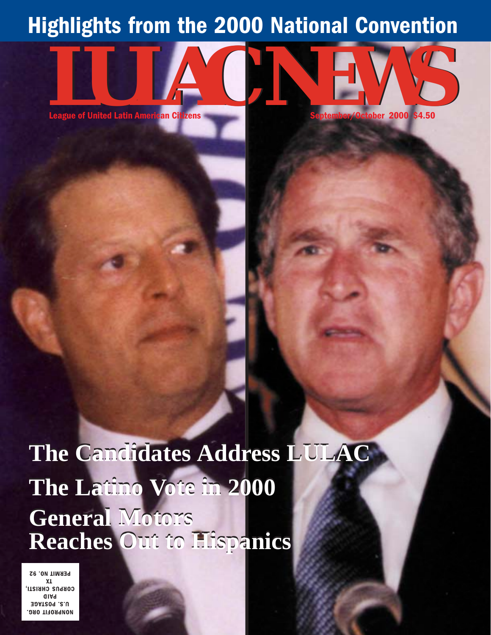### Highlights from the 2000 National Convention

League of United Latin American Citizens

**zens de la component de la component de la component de la component de la component de la component de la co** 

Cotober 2000 \$4.50

**The Candidates Address LULAC The Latino Vote in 2000 General Motors Reaches Out to Hispanics**

**MONPROFIT ORG. 39AT209.2.U** %(, COBPUS CHBISTI, ). **PERMIT NO. 92** 

**League of United Latin Amer** 

can Citi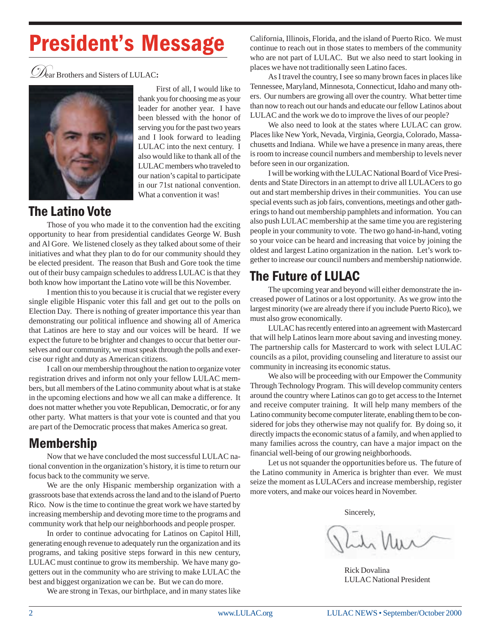# **President's Message**

ear Brothers and Sisters of LULAC**:**



First of all, I would like to thank you for choosing me as your leader for another year. I have been blessed with the honor of serving you for the past two years and I look forward to leading LULAC into the next century. I also would like to thank all of the LULAC members who traveled to our nation's capital to participate in our 71st national convention. What a convention it was!

### The Latino Vote

Those of you who made it to the convention had the exciting opportunity to hear from presidential candidates George W. Bush and Al Gore. We listened closely as they talked about some of their initiatives and what they plan to do for our community should they be elected president. The reason that Bush and Gore took the time out of their busy campaign schedules to address LULAC is that they both know how important the Latino vote will be this November.

I mention this to you because it is crucial that we register every single eligible Hispanic voter this fall and get out to the polls on Election Day. There is nothing of greater importance this year than demonstrating our political influence and showing all of America that Latinos are here to stay and our voices will be heard. If we expect the future to be brighter and changes to occur that better ourselves and our community, we must speak through the polls and exercise our right and duty as American citizens.

I call on our membership throughout the nation to organize voter registration drives and inform not only your fellow LULAC members, but all members of the Latino community about what is at stake in the upcoming elections and how we all can make a difference. It does not matter whether you vote Republican, Democratic, or for any other party. What matters is that your vote is counted and that you are part of the Democratic process that makes America so great.

### **Membership**

Now that we have concluded the most successful LULAC national convention in the organization's history, it is time to return our focus back to the community we serve.

We are the only Hispanic membership organization with a grassroots base that extends across the land and to the island of Puerto Rico. Now is the time to continue the great work we have started by increasing membership and devoting more time to the programs and community work that help our neighborhoods and people prosper.

In order to continue advocating for Latinos on Capitol Hill, generating enough revenue to adequately run the organization and its programs, and taking positive steps forward in this new century, LULAC must continue to grow its membership. We have many gogetters out in the community who are striving to make LULAC the best and biggest organization we can be. But we can do more.

We are strong in Texas, our birthplace, and in many states like

California, Illinois, Florida, and the island of Puerto Rico. We must continue to reach out in those states to members of the community who are not part of LULAC. But we also need to start looking in places we have not traditionally seen Latino faces.

As I travel the country, I see so many brown faces in places like Tennessee, Maryland, Minnesota, Connecticut, Idaho and many others. Our numbers are growing all over the country. What better time than now to reach out our hands and educate our fellow Latinos about LULAC and the work we do to improve the lives of our people?

We also need to look at the states where LULAC can grow. Places like New York, Nevada, Virginia, Georgia, Colorado, Massachusetts and Indiana. While we have a presence in many areas, there is room to increase council numbers and membership to levels never before seen in our organization.

I will be working with the LULAC National Board of Vice Presidents and State Directors in an attempt to drive all LULACers to go out and start membership drives in their communities. You can use special events such as job fairs, conventions, meetings and other gatherings to hand out membership pamphlets and information. You can also push LULAC membership at the same time you are registering people in your community to vote. The two go hand-in-hand, voting so your voice can be heard and increasing that voice by joining the oldest and largest Latino organization in the nation. Let's work together to increase our council numbers and membership nationwide.

### The Future of LULAC

The upcoming year and beyond will either demonstrate the increased power of Latinos or a lost opportunity. As we grow into the largest minority (we are already there if you include Puerto Rico), we must also grow economically.

LULAC has recently entered into an agreement with Mastercard that will help Latinos learn more about saving and investing money. The partnership calls for Mastercard to work with select LULAC councils as a pilot, providing counseling and literature to assist our community in increasing its economic status.

We also will be proceeding with our Empower the Community Through Technology Program. This will develop community centers around the country where Latinos can go to get access to the Internet and receive computer training. It will help many members of the Latino community become computer literate, enabling them to be considered for jobs they otherwise may not qualify for. By doing so, it directly impacts the economic status of a family, and when applied to many families across the country, can have a major impact on the financial well-being of our growing neighborhoods.

Let us not squander the opportunities before us. The future of the Latino community in America is brighter than ever. We must seize the moment as LULACers and increase membership, register more voters, and make our voices heard in November.

Sincerely,

Rick Dovalina LULAC National President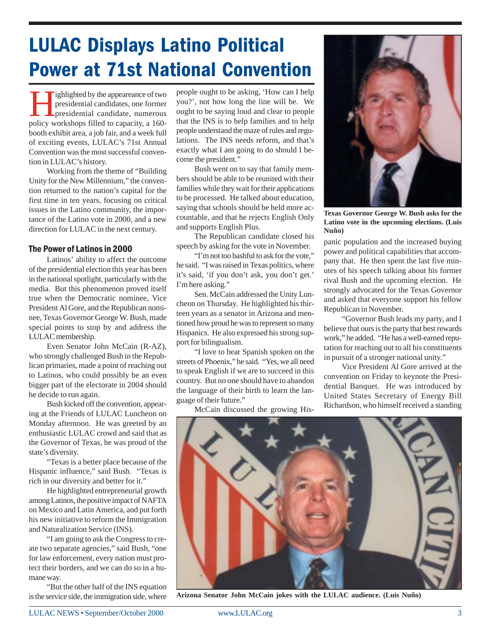### **LULAC Displays Latino Political Power at 71st National Convention**

International candidates, one former<br>presidential candidate, numerous<br>policy workshops filled to capacity a 160presidential candidates, one former presidential candidate, numerous policy workshops filled to capacity, a 160 booth exhibit area, a job fair, and a week full of exciting events, LULAC's 71st Annual Convention was the most successful convention in LULAC's history.

Working from the theme of "Building Unity for the New Millennium," the convention returned to the nation's capital for the first time in ten years, focusing on critical issues in the Latino community, the importance of the Latino vote in 2000, and a new direction for LULAC in the next century.

#### The Power of Latinos in 2000

Latinos' ability to affect the outcome of the presidential election this year has been in the national spotlight, particularly with the media. But this phenomenon proved itself true when the Democratic nominee, Vice President Al Gore, and the Republican nominee, Texas Governor George W. Bush, made special points to stop by and address the LULAC membership.

Even Senator John McCain (R-AZ), who strongly challenged Bush in the Republican primaries, made a point of reaching out to Latinos, who could possibly be an even bigger part of the electorate in 2004 should he decide to run again.

Bush kicked off the convention, appearing at the Friends of LULAC Luncheon on Monday afternoon. He was greeted by an enthusiastic LULAC crowd and said that as the Governor of Texas, he was proud of the state's diversity.

"Texas is a better place because of the Hispanic influence," said Bush. "Texas is rich in our diversity and better for it."

He highlighted entrepreneurial growth among Latinos, the positive impact of NAFTA on Mexico and Latin America, and put forth his new initiative to reform the Immigration and Naturalization Service (INS).

"I am going to ask the Congress to create two separate agencies," said Bush, "one for law enforcement, every nation must protect their borders, and we can do so in a humane way.

"But the other half of the INS equation is the service side, the immigration side, where people ought to be asking, 'How can I help you?', not how long the line will be. We ought to be saying loud and clear to people that the INS is to help families and to help people understand the maze of rules and regulations. The INS needs reform, and that's exactly what I am going to do should I become the president."

Bush went on to say that family members should be able to be reunited with their families while they wait for their applications to be processed. He talked about education, saying that schools should be held more accountable, and that he rejects English Only and supports English Plus.

The Republican candidate closed his speech by asking for the vote in November.

"I'm not too bashful to ask for the vote," he said. "I was raised in Texas politics, where it's said, 'if you don't ask, you don't get.' I'm here asking."

Sen. McCain addressed the Unity Luncheon on Thursday. He highlighted his thirteen years as a senator in Arizona and mentioned how proud he was to represent so many Hispanics. He also expressed his strong support for bilingualism.

"I love to hear Spanish spoken on the streets of Phoenix," he said. "Yes, we all need to speak English if we are to succeed in this country. But no one should have to abandon the language of their birth to learn the language of their future."

McCain discussed the growing His-



**Texas Governor George W. Bush asks for the Latino vote in the upcoming elections. (Luis Nuño)**

panic population and the increased buying power and political capabilities that accompany that. He then spent the last five minutes of his speech talking about his former rival Bush and the upcoming election. He strongly advocated for the Texas Governor and asked that everyone support his fellow Republican in November.

"Governor Bush leads my party, and I believe that ours is the party that best rewards work," he added. "He has a well-earned reputation for reaching out to all his constituents in pursuit of a stronger national unity."

Vice President Al Gore arrived at the convention on Friday to keynote the Presidential Banquet. He was introduced by United States Secretary of Energy Bill Richardson, who himself received a standing



**Arizona Senator John McCain jokes with the LULAC audience. (Luis Nuño)**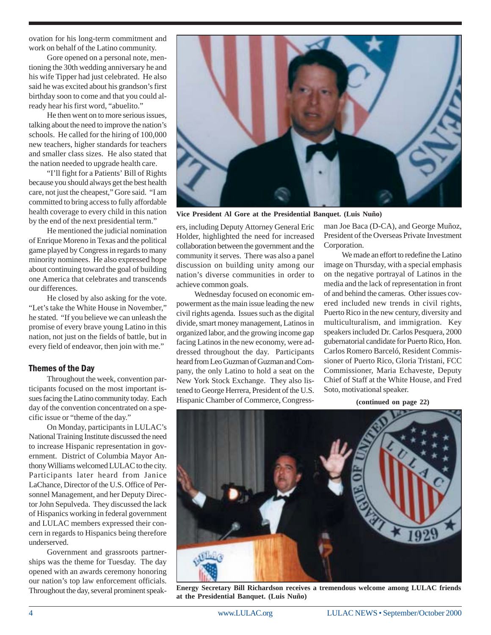ovation for his long-term commitment and work on behalf of the Latino community.

Gore opened on a personal note, mentioning the 30th wedding anniversary he and his wife Tipper had just celebrated. He also said he was excited about his grandson's first birthday soon to come and that you could already hear his first word, "abuelito."

He then went on to more serious issues, talking about the need to improve the nation's schools. He called for the hiring of 100,000 new teachers, higher standards for teachers and smaller class sizes. He also stated that the nation needed to upgrade health care.

"I'll fight for a Patients' Bill of Rights because you should always get the best health care, not just the cheapest," Gore said. "I am committed to bring access to fully affordable health coverage to every child in this nation by the end of the next presidential term."

He mentioned the judicial nomination of Enrique Moreno in Texas and the political game played by Congress in regards to many minority nominees. He also expressed hope about continuing toward the goal of building one America that celebrates and transcends our differences.

He closed by also asking for the vote. "Let's take the White House in November," he stated. "If you believe we can unleash the promise of every brave young Latino in this nation, not just on the fields of battle, but in every field of endeavor, then join with me."

#### Themes of the Day

Throughout the week, convention participants focused on the most important issues facing the Latino community today. Each day of the convention concentrated on a specific issue or "theme of the day."

On Monday, participants in LULAC's National Training Institute discussed the need to increase Hispanic representation in government. District of Columbia Mayor Anthony Williams welcomed LULAC to the city. Participants later heard from Janice LaChance, Director of the U.S. Office of Personnel Management, and her Deputy Director John Sepulveda. They discussed the lack of Hispanics working in federal government and LULAC members expressed their concern in regards to Hispanics being therefore underserved.

Government and grassroots partnerships was the theme for Tuesday. The day opened with an awards ceremony honoring our nation's top law enforcement officials. Throughout the day, several prominent speak-



**Vice President Al Gore at the Presidential Banquet. (Luis Nuño)**

ers, including Deputy Attorney General Eric Holder, highlighted the need for increased collaboration between the government and the community it serves. There was also a panel discussion on building unity among our nation's diverse communities in order to achieve common goals.

Wednesday focused on economic empowerment as the main issue leading the new civil rights agenda. Issues such as the digital divide, smart money management, Latinos in organized labor, and the growing income gap facing Latinos in the new economy, were addressed throughout the day. Participants heard from Leo Guzman of Guzman and Company, the only Latino to hold a seat on the New York Stock Exchange. They also listened to George Herrera, President of the U.S. Hispanic Chamber of Commerce, Congressman Joe Baca (D-CA), and George Muñoz, President of the Overseas Private Investment Corporation.

We made an effort to redefine the Latino image on Thursday, with a special emphasis on the negative portrayal of Latinos in the media and the lack of representation in front of and behind the cameras. Other issues covered included new trends in civil rights, Puerto Rico in the new century, diversity and multiculturalism, and immigration. Key speakers included Dr. Carlos Pesquera, 2000 gubernatorial candidate for Puerto Rico, Hon. Carlos Romero Barceló, Resident Commissioner of Puerto Rico, Gloria Tristani, FCC Commissioner, Maria Echaveste, Deputy Chief of Staff at the White House, and Fred Soto, motivational speaker.

**(continued on page 22)**



**Energy Secretary Bill Richardson receives a tremendous welcome among LULAC friends at the Presidential Banquet. (Luis Nuño)**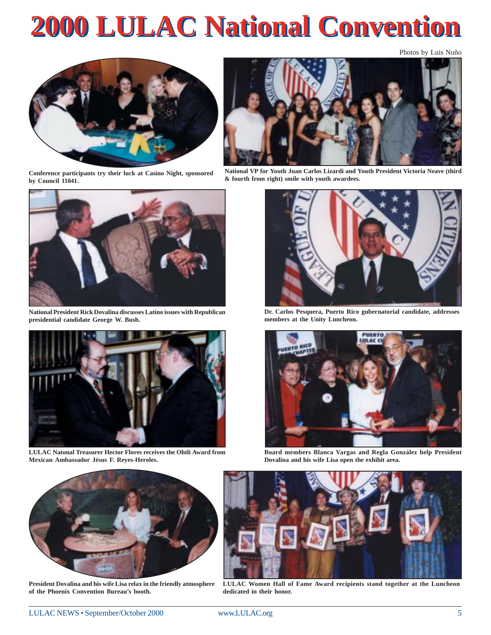# **2000 LULAC National Convention 2000 LULAC National Convention**

Photos by Luis Nuño



**Conference participants try their luck at Casino Night, sponsored by Council 11041.**



**National President Rick Dovalina discusses Latino issues with Republican presidential candidate George W. Bush.**



**LULAC Natonal Treasurer Hector Flores receives the Ohtli Award from Mexican Ambassador Jésus F. Reyes-Heroles.**



**National VP for Youth Juan Carlos Lizardi and Youth President Victoria Neave (third & fourth from right) smile with youth awardees.**



**Dr. Carlos Pesquera, Puerto Rico gubernatorial candidate, addresses members at the Unity Luncheon.**



**Board members Blanca Vargas and Regla González help President Dovalina and his wife Lisa open the exhibit area.**



**President Dovalina and his wife Lisa relax in the friendly atmosphere of the Phoenix Convention Bureau's booth.**



**LULAC Women Hall of Fame Award recipients stand together at the Luncheon dedicated in their honor.**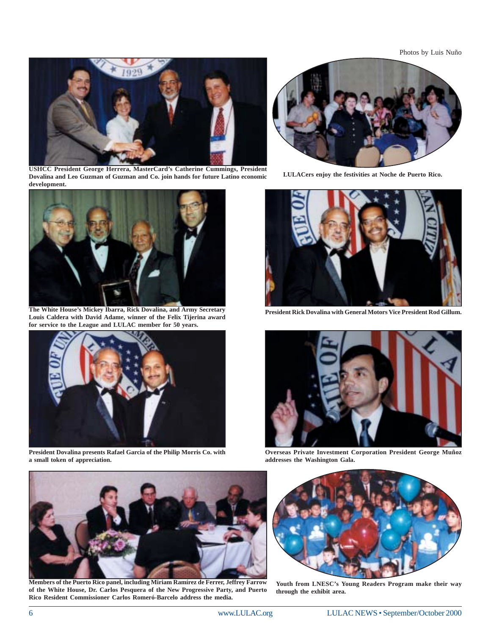Photos by Luis Nuño



**USHCC President George Herrera, MasterCard's Catherine Cummings, President Dovalina and Leo Guzman of Guzman and Co. join hands for future Latino economic development.**



**The White House's Mickey Ibarra, Rick Dovalina, and Army Secretary Louis Caldera with David Adame, winner of the Felix Tijerina award for service to the League and LULAC member for 50 years.**



**President Dovalina presents Rafael Garcia of the Philip Morris Co. with a small token of appreciation.**



**LULACers enjoy the festivities at Noche de Puerto Rico.**



**President Rick Dovalina with General Motors Vice President Rod Gillum.**



**Overseas Private Investment Corporation President George Muñoz addresses the Washington Gala.**



**Members of the Puerto Rico panel, including Miriam Ramírez de Ferrer, Jeffrey Farrow of the White House, Dr. Carlos Pesquera of the New Progressive Party, and Puerto Rico Resident Commissioner Carlos Romeró-Barcelo address the media.**



**Youth from LNESC's Young Readers Program make their way through the exhibit area.**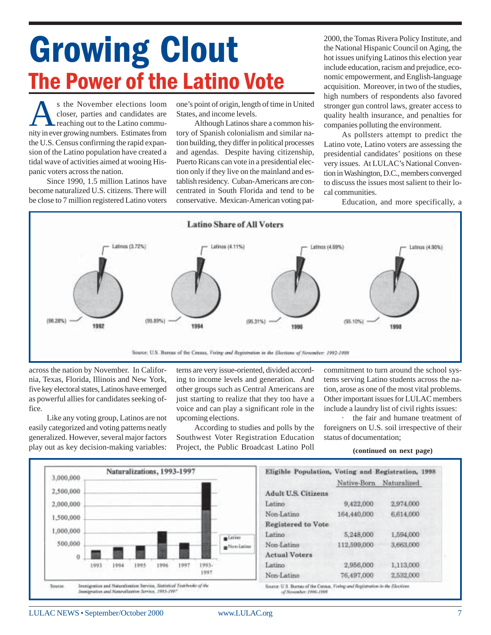# ECOWINS COULT THE National Hispanic Council on Aging, the National Hispanic Council on Aging, the hot issues unifying Latinos this election year<br>include education, racism and prejudice, eco-**The Power of the Latino Vote**

s the November elections loom<br>closer, parties and candidates are<br>reaching out to the Latino commu-<br>nity in ever growing numbers. Estimates from closer, parties and candidates are reaching out to the Latino community in ever growing numbers. Estimates from the U.S. Census confirming the rapid expansion of the Latino population have created a tidal wave of activities aimed at wooing Hispanic voters across the nation.

Since 1990, 1.5 million Latinos have become naturalized U.S. citizens. There will be close to 7 million registered Latino voters

one's point of origin, length of time in United States, and income levels.

Although Latinos share a common history of Spanish colonialism and similar nation building, they differ in political processes and agendas. Despite having citizenship, Puerto Ricans can vote in a presidential election only if they live on the mainland and establish residency. Cuban-Americans are concentrated in South Florida and tend to be conservative. Mexican-American voting patthe National Hispanic Council on Aging, the hot issues unifying Latinos this election year include education, racism and prejudice, economic empowerment, and English-language acquisition. Moreover, in two of the studies, high numbers of respondents also favored stronger gun control laws, greater access to quality health insurance, and penalties for companies polluting the environment.

As pollsters attempt to predict the Latino vote, Latino voters are assessing the presidential candidates' positions on these very issues. At LULAC's National Convention in Washington, D.C., members converged to discuss the issues most salient to their local communities.

Education, and more specifically, a



across the nation by November. In California, Texas, Florida, Illinois and New York, five key electoral states, Latinos have emerged as powerful allies for candidates seeking office.

Like any voting group, Latinos are not easily categorized and voting patterns neatly generalized. However, several major factors play out as key decision-making variables:

terns are very issue-oriented, divided according to income levels and generation. And other groups such as Central Americans are just starting to realize that they too have a voice and can play a significant role in the upcoming elections.

According to studies and polls by the Southwest Voter Registration Education Project, the Public Broadcast Latino Poll commitment to turn around the school systems serving Latino students across the nation, arose as one of the most vital problems. Other important issues for LULAC members include a laundry list of civil rights issues:

· the fair and humane treatment of foreigners on U.S. soil irrespective of their status of documentation;

**(continued on next page)**

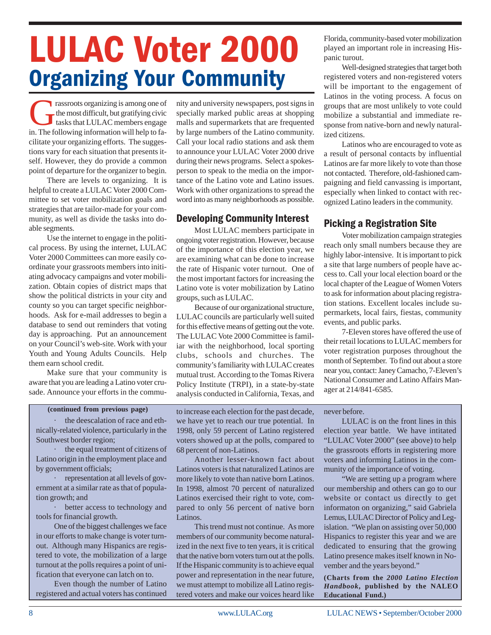# **LULAC Voter 2000 Organizing Your Community**

rassroots organizing is among one of  $\mathbf{\mathsf{r}}$  the most difficult, but gratifying civic tasks that LULAC members engage in. The following information will help to facilitate your organizing efforts. The suggestions vary for each situation that presents itself. However, they do provide a common point of departure for the organizer to begin.

There are levels to organizing. It is helpful to create a LULAC Voter 2000 Committee to set voter mobilization goals and strategies that are tailor-made for your community, as well as divide the tasks into doable segments.

Use the internet to engage in the political process. By using the internet, LULAC Voter 2000 Committees can more easily coordinate your grassroots members into initiating advocacy campaigns and voter mobilization. Obtain copies of district maps that show the political districts in your city and county so you can target specific neighborhoods. Ask for e-mail addresses to begin a database to send out reminders that voting day is approaching. Put an announcement on your Council's web-site. Work with your Youth and Young Adults Councils. Help them earn school credit.

Make sure that your community is aware that you are leading a Latino voter crusade. Announce your efforts in the community and university newspapers, post signs in specially marked public areas at shopping malls and supermarkets that are frequented by large numbers of the Latino community. Call your local radio stations and ask them to announce your LULAC Voter 2000 drive during their news programs. Select a spokesperson to speak to the media on the importance of the Latino vote and Latino issues. Work with other organizations to spread the word into as many neighborhoods as possible.

#### **Developing Community Interest**

Most LULAC members participate in ongoing voter registration. However, because of the importance of this election year, we are examining what can be done to increase the rate of Hispanic voter turnout. One of the most important factors for increasing the Latino vote is voter mobilization by Latino groups, such as LULAC.

Because of our organizational structure, LULAC councils are particularly well suited for this effective means of getting out the vote. The LULAC Vote 2000 Committee is familiar with the neighborhood, local sporting clubs, schools and churches. The community's familiarity with LULAC creates mutual trust. According to the Tomas Rivera Policy Institute (TRPI), in a state-by-state analysis conducted in California, Texas, and

the deescalation of race and ethnically-related violence, particularly in the Southwest border region;

· the equal treatment of citizens of Latino origin in the employment place and by government officials;

representation at all levels of government at a similar rate as that of population growth; and

· better access to technology and tools for financial growth.

One of the biggest challenges we face in our efforts to make change is voter turnout. Although many Hispanics are registered to vote, the mobilization of a large turnout at the polls requires a point of unification that everyone can latch on to.

Even though the number of Latino registered and actual voters has continued

**(continued from previous page)** to increase each election for the past decade, we have yet to reach our true potential. In 1998, only 59 percent of Latino registered voters showed up at the polls, compared to 68 percent of non-Latinos.

> Another lesser-known fact about Latinos voters is that naturalized Latinos are more likely to vote than native born Latinos. In 1998, almost 70 percent of naturalized Latinos exercised their right to vote, compared to only 56 percent of native born Latinos.

> This trend must not continue. As more members of our community become naturalized in the next five to ten years, it is critical that the native born voters turn out at the polls. If the Hispanic community is to achieve equal power and representation in the near future, we must attempt to mobilize all Latino registered voters and make our voices heard like

Florida, community-based voter mobilization played an important role in increasing Hispanic turout.

Well-designed strategies that target both registered voters and non-registered voters will be important to the engagement of Latinos in the voting process. A focus on groups that are most unlikely to vote could mobilize a substantial and immediate response from native-born and newly naturalized citizens.

Latinos who are encouraged to vote as a result of personal contacts by influential Latinos are far more likely to vote than those not contacted. Therefore, old-fashioned campaigning and field canvassing is important, especially when linked to contact with recognized Latino leaders in the community.

#### **Picking a Registration Site**

Voter mobilization campaign strategies reach only small numbers because they are highly labor-intensive. It is important to pick a site that large numbers of people have access to. Call your local election board or the local chapter of the League of Women Voters to ask for information about placing registration stations. Excellent locales include supermarkets, local fairs, fiestas, community events, and public parks.

7-Eleven stores have offered the use of their retail locations to LULAC members for voter registration purposes throughout the month of September. To find out about a store near you, contact: Janey Camacho, 7-Eleven's National Consumer and Latino Affairs Manager at 214/841-6585.

#### never before.

LULAC is on the front lines in this election year battle. We have intitated "LULAC Voter 2000" (see above) to help the grassroots efforts in registering more voters and informing Latinos in the community of the importance of voting.

"We are setting up a program where our membership and others can go to our website or contact us directly to get informaton on organizing," said Gabriela Lemus, LULAC Director of Policy and Legislation. "We plan on assisting over 50,000 Hispanics to register this year and we are dedicated to ensuring that the growing Latino presence makes itself known in November and the years beyond."

**(Charts from the** *2000 Latino Election Handbook***, published by the NALEO Educational Fund.)**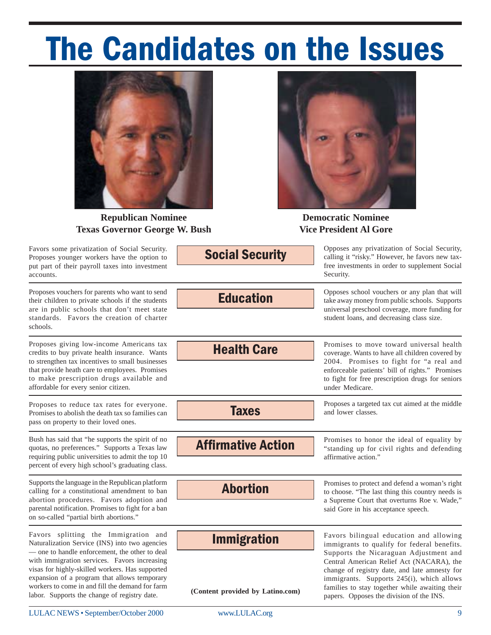# The Candidates on the Issues



**Republican Nominee Texas Governor George W. Bush**

Favors some privatization of Social Security. Proposes younger workers have the option to put part of their payroll taxes into investment accounts.

Proposes vouchers for parents who want to send their children to private schools if the students are in public schools that don't meet state standards. Favors the creation of charter schools.

Proposes giving low-income Americans tax credits to buy private health insurance. Wants to strengthen tax incentives to small businesses that provide heath care to employees. Promises to make prescription drugs available and affordable for every senior citizen.

Proposes to reduce tax rates for everyone. Promises to abolish the death tax so families can pass on property to their loved ones.

Bush has said that "he supports the spirit of no quotas, no preferences." Supports a Texas law requiring public universities to admit the top 10 percent of every high school's graduating class.

Supports the language in the Republican platform calling for a constitutional amendment to ban abortion procedures. Favors adoption and parental notification. Promises to fight for a ban on so-called "partial birth abortions."

Favors splitting the Immigration and Naturalization Service (INS) into two agencies — one to handle enforcement, the other to deal with immigration services. Favors increasing visas for highly-skilled workers. Has supported expansion of a program that allows temporary workers to come in and fill the demand for farm labor. Supports the change of registry date.

**Social Security** 

Opposes any privatization of Social Security, calling it "risky." However, he favors new taxfree investments in order to supplement Social Security.

**Democratic Nominee Vice President Al Gore**

**Education** 

**Health Care** 

Opposes school vouchers or any plan that will take away money from public schools. Supports universal preschool coverage, more funding for student loans, and decreasing class size.

Promises to move toward universal health coverage. Wants to have all children covered by 2004. Promises to fight for "a real and enforceable patients' bill of rights." Promises to fight for free prescription drugs for seniors under Medicare.

Proposes a targeted tax cut aimed at the middle and lower classes.

Promises to honor the ideal of equality by "standing up for civil rights and defending affirmative action."

Promises to protect and defend a woman's right a Supreme Court that overturns Roe v. Wade," said Gore in his acceptance speech.

**Immigration** 

**Abortion** 

**Affirmative Action** 

**Taxes** 

**(Content provided by Latino.com)**

to choose. "The last thing this country needs is

Favors bilingual education and allowing immigrants to qualify for federal benefits. Supports the Nicaraguan Adjustment and Central American Relief Act (NACARA), the change of registry date, and late amnesty for immigrants. Supports 245(i), which allows families to stay together while awaiting their papers. Opposes the division of the INS.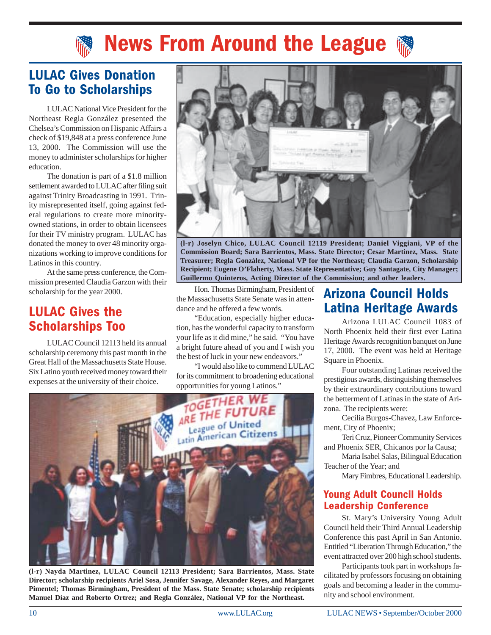### **News From Around the League**

#### **LULAC Gives Donation To Go to Scholarships**

LULAC National Vice President for the Northeast Regla González presented the Chelsea's Commission on Hispanic Affairs a check of \$19,848 at a press conference June 13, 2000. The Commission will use the money to administer scholarships for higher education.

The donation is part of a \$1.8 million settlement awarded to LULAC after filing suit against Trinity Broadcasting in 1991. Trinity misrepresented itself, going against federal regulations to create more minorityowned stations, in order to obtain licensees for their TV ministry program. LULAC has donated the money to over 48 minority organizations working to improve conditions for Latinos in this country.

At the same press conference, the Commission presented Claudia Garzon with their scholarship for the year 2000.

#### **LULAC Gives the Scholarships Too**

LULAC Council 12113 held its annual scholarship ceremony this past month in the Great Hall of the Massachusetts State House. Six Latino youth received money toward their expenses at the university of their choice.



**(l-r) Joselyn Chico, LULAC Council 12119 President; Daniel Viggiani, VP of the Commission Board; Sara Barrientos, Mass. State Director; Cesar Martinez, Mass. State Treasurer; Regla González, National VP for the Northeast; Claudia Garzon, Scholarship Recipient; Eugene O'Flaherty, Mass. State Representative; Guy Santagate, City Manager; Guillermo Quinteros, Acting Director of the Commission; and other leaders.**

Hon. Thomas Birmingham, President of the Massachusetts State Senate was in attendance and he offered a few words.

"Education, especially higher education, has the wonderful capacity to transform your life as it did mine," he said. "You have a bright future ahead of you and I wish you the best of luck in your new endeavors."

"I would also like to commend LULAC for its commitment to broadening educational



**(l-r) Nayda Martinez, LULAC Council 12113 President; Sara Barrientos, Mass. State Director; scholarship recipients Ariel Sosa, Jennifer Savage, Alexander Reyes, and Margaret Pimentel; Thomas Birmingham, President of the Mass. State Senate; scholarship recipients Manuel Díaz and Roberto Ortrez; and Regla González, National VP for the Northeast.**

### Arizona Council Holds Latina Heritage Awards

Arizona LULAC Council 1083 of North Phoenix held their first ever Latina Heritage Awards recognition banquet on June 17, 2000. The event was held at Heritage Square in Phoenix.

Four outstanding Latinas received the prestigious awards, distinguishing themselves by their extraordinary contributions toward the betterment of Latinas in the state of Arizona. The recipients were:

Cecilia Burgos-Chavez, Law Enforcement, City of Phoenix;

Teri Cruz, Pioneer Community Services and Phoenix SER, Chicanos por la Causa;

Maria Isabel Salas, Bilingual Education Teacher of the Year; and

Mary Fimbres, Educational Leadership.

#### **Young Adult Council Holds Leadership Conference**

St. Mary's University Young Adult Council held their Third Annual Leadership Conference this past April in San Antonio. Entitled "Liberation Through Education," the event attracted over 200 high school students.

Participants took part in workshops facilitated by professors focusing on obtaining goals and becoming a leader in the community and school environment.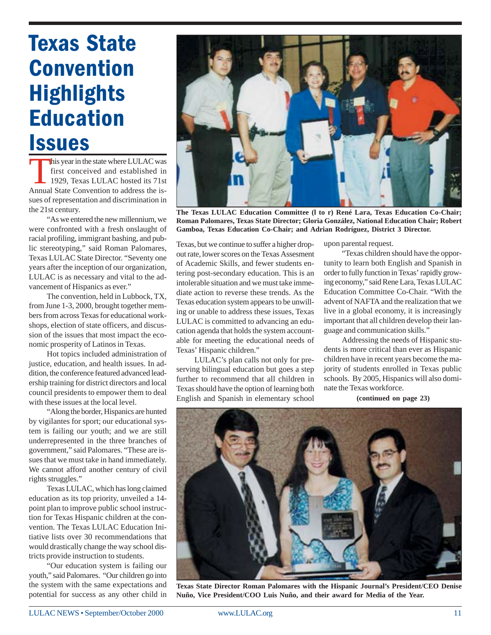## **Texas State Convention Highlights** Education **Issues**

this year in the state where LULAC was first conceived and established in 1929, Texas LULAC hosted its 71st Annual State Convention to address the issues of representation and discrimination in the 21st century.

"As we entered the new millennium, we were confronted with a fresh onslaught of racial profiling, immigrant bashing, and public stereotyping," said Roman Palomares, Texas LULAC State Director. "Seventy one years after the inception of our organization, LULAC is as necessary and vital to the advancement of Hispanics as ever."

The convention, held in Lubbock, TX, from June 1-3, 2000, brought together members from across Texas for educational workshops, election of state officers, and discussion of the issues that most impact the economic prosperity of Latinos in Texas.

Hot topics included administration of justice, education, and health issues. In addition, the conference featured advanced leadership training for district directors and local council presidents to empower them to deal with these issues at the local level.

"Along the border, Hispanics are hunted by vigilantes for sport; our educational system is failing our youth; and we are still underrepresented in the three branches of government," said Palomares. "These are issues that we must take in hand immediately. We cannot afford another century of civil rights struggles."

Texas LULAC, which has long claimed education as its top priority, unveiled a 14 point plan to improve public school instruction for Texas Hispanic children at the convention. The Texas LULAC Education Initiative lists over 30 recommendations that would drastically change the way school districts provide instruction to students.

"Our education system is failing our youth," said Palomares. "Our children go into the system with the same expectations and potential for success as any other child in



**The Texas LULAC Education Committee (l to r) René Lara, Texas Education Co-Chair; Roman Palomares, Texas State Director; Gloria González, National Education Chair; Robert Gamboa, Texas Education Co-Chair; and Adrian Rodríguez, District 3 Director.**

Texas, but we continue to suffer a higher dropout rate, lower scores on the Texas Assesment of Academic Skills, and fewer students entering post-secondary education. This is an intolerable situation and we must take immediate action to reverse these trends. As the Texas education system appears to be unwilling or unable to address these issues, Texas LULAC is committed to advancing an education agenda that holds the system accountable for meeting the educational needs of Texas' Hispanic children."

LULAC's plan calls not only for preserving bilingual education but goes a step further to recommend that all children in Texas should have the option of learning both English and Spanish in elementary school

upon parental request.

"Texas children should have the opportunity to learn both English and Spanish in order to fully function in Texas' rapidly growing economy," said Rene Lara, Texas LULAC Education Committee Co-Chair. "With the advent of NAFTA and the realization that we live in a global economy, it is increasingly important that all children develop their language and communication skills."

Addressing the needs of Hispanic students is more critical than ever as Hispanic children have in recent years become the majority of students enrolled in Texas public schools. By 2005, Hispanics will also dominate the Texas workforce.

**(continued on page 23)**



**Texas State Director Roman Palomares with the Hispanic Journal's President/CEO Denise Nuño, Vice President/COO Luis Nuño, and their award for Media of the Year.**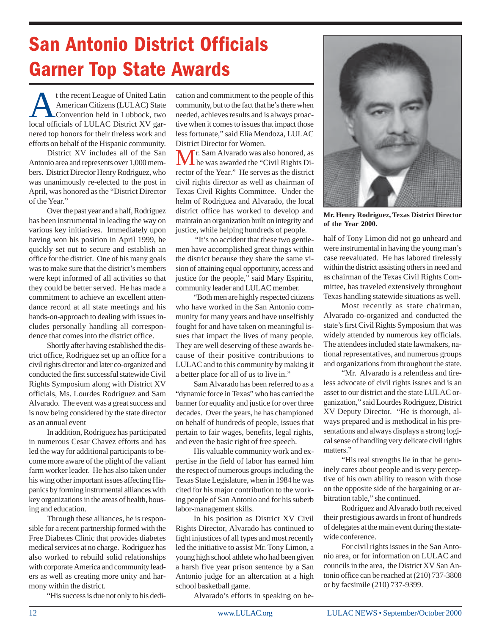### San Antonio District Officials **Garner Top State Awards**

t the recent League of United Latin<br>American Citizens (LULAC) State<br>Convention held in Lubbock, two<br>local officials of LULAC District XV gar-American Citizens (LULAC) State Convention held in Lubbock, two local officials of LULAC District XV garnered top honors for their tireless work and efforts on behalf of the Hispanic community.

District XV includes all of the San Antonio area and represents over 1,000 members. District Director Henry Rodriguez, who was unanimously re-elected to the post in April, was honored as the "District Director of the Year."

Over the past year and a half, Rodriguez has been instrumental in leading the way on various key initiatives. Immediately upon having won his position in April 1999, he quickly set out to secure and establish an office for the district. One of his many goals was to make sure that the district's members were kept informed of all activities so that they could be better served. He has made a commitment to achieve an excellent attendance record at all state meetings and his hands-on-approach to dealing with issues includes personally handling all correspondence that comes into the district office.

Shortly after having established the district office, Rodriguez set up an office for a civil rights director and later co-organized and conducted the first successful statewide Civil Rights Symposium along with District XV officials, Ms. Lourdes Rodriguez and Sam Alvarado. The event was a great success and is now being considered by the state director as an annual event

In addition, Rodriguez has participated in numerous Cesar Chavez efforts and has led the way for additional participants to become more aware of the plight of the valiant farm worker leader. He has also taken under his wing other important issues affecting Hispanics by forming instrumental alliances with key organizations in the areas of health, housing and education.

Through these alliances, he is responsible for a recent partnership formed with the Free Diabetes Clinic that provides diabetes medical services at no charge. Rodriguez has also worked to rebuild solid relationships with corporate America and community leaders as well as creating more unity and harmony within the district.

"His success is due not only to his dedi-

cation and commitment to the people of this community, but to the fact that he's there when needed, achieves results and is always proactive when it comes to issues that impact those less fortunate," said Elia Mendoza, LULAC District Director for Women.

Mr. Sam Alvarado was also honored, as he was awarded the "Civil Rights Director of the Year." He serves as the district civil rights director as well as chairman of Texas Civil Rights Committee. Under the helm of Rodriguez and Alvarado, the local district office has worked to develop and maintain an organization built on integrity and justice, while helping hundreds of people.

 "It's no accident that these two gentlemen have accomplished great things within the district because they share the same vision of attaining equal opportunity, access and justice for the people," said Mary Espiritu, community leader and LULAC member.

"Both men are highly respected citizens who have worked in the San Antonio community for many years and have unselfishly fought for and have taken on meaningful issues that impact the lives of many people. They are well deserving of these awards because of their positive contributions to LULAC and to this community by making it a better place for all of us to live in."

Sam Alvarado has been referred to as a "dynamic force in Texas" who has carried the banner for equality and justice for over three decades. Over the years, he has championed on behalf of hundreds of people, issues that pertain to fair wages, benefits, legal rights, and even the basic right of free speech.

His valuable community work and expertise in the field of labor has earned him the respect of numerous groups including the Texas State Legislature, when in 1984 he was cited for his major contribution to the working people of San Antonio and for his suberb labor-management skills.

In his position as District XV Civil Rights Director, Alvarado has continued to fight injustices of all types and most recently led the initiative to assist Mr. Tony Limon, a young high school athlete who had been given a harsh five year prison sentence by a San Antonio judge for an altercation at a high school basketball game.

Alvarado's efforts in speaking on be-



**Mr. Henry Rodriguez, Texas District Director of the Year 2000.**

half of Tony Limon did not go unheard and were instrumental in having the young man's case reevaluated. He has labored tirelessly within the district assisting others in need and as chairman of the Texas Civil Rights Committee, has traveled extensively throughout Texas handling statewide situations as well.

Most recently as state chairman, Alvarado co-organized and conducted the state's first Civil Rights Symposium that was widely attended by numerous key officials. The attendees included state lawmakers, national representatives, and numerous groups and organizations from throughout the state.

"Mr. Alvarado is a relentless and tireless advocate of civil rights issues and is an asset to our district and the state LULAC organization," said Lourdes Rodriguez, District XV Deputy Director. "He is thorough, always prepared and is methodical in his presentations and always displays a strong logical sense of handling very delicate civil rights matters."

"His real strengths lie in that he genuinely cares about people and is very perceptive of his own ability to reason with those on the opposite side of the bargaining or arbitration table," she continued.

Rodriguez and Alvarado both received their prestigious awards in front of hundreds of delegates at the main event during the statewide conference.

For civil rights issues in the San Antonio area, or for information on LULAC and councils in the area, the District XV San Antonio office can be reached at (210) 737-3808 or by facsimile (210) 737-9399.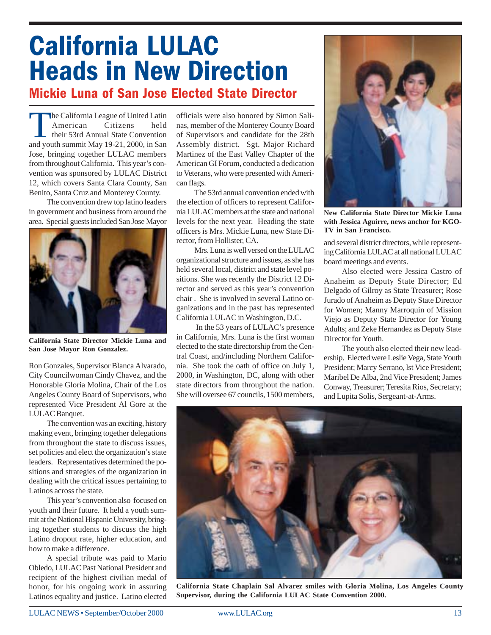### **California LULAC Heads in New Direction** Mickie Luna of San Jose Elected State Director

**The California League of United Latin<br>American Citizens** held American their 53rd Annual State Convention and youth summit May 19-21, 2000, in San Jose, bringing together LULAC members from throughout California. This year's convention was sponsored by LULAC District 12, which covers Santa Clara County, San Benito, Santa Cruz and Monterey County.

The convention drew top latino leaders in government and business from around the area. Special guests included San Jose Mayor



**California State Director Mickie Luna and San Jose Mayor Ron Gonzalez.**

Ron Gonzales, Supervisor Blanca Alvarado, City Councilwoman Cindy Chavez, and the Honorable Gloria Molina, Chair of the Los Angeles County Board of Supervisors, who represented Vice President Al Gore at the LULAC Banquet.

The convention was an exciting, history making event, bringing together delegations from throughout the state to discuss issues, set policies and elect the organization's state leaders. Representatives determined the positions and strategies of the organization in dealing with the critical issues pertaining to Latinos across the state.

This year's convention also focused on youth and their future. It held a youth summit at the National Hispanic University, bringing together students to discuss the high Latino dropout rate, higher education, and how to make a difference.

A special tribute was paid to Mario Obledo, LULAC Past National President and recipient of the highest civilian medal of honor, for his ongoing work in assuring Latinos equality and justice. Latino elected

officials were also honored by Simon Salinas, member of the Monterey County Board of Supervisors and candidate for the 28th Assembly district. Sgt. Major Richard Martinez of the East Valley Chapter of the American GI Forum, conducted a dedication to Veterans, who were presented with American flags.

The 53rd annual convention ended with the election of officers to represent California LULAC members at the state and national levels for the next year. Heading the state officers is Mrs. Mickie Luna, new State Director, from Hollister, CA.

Mrs. Luna is well versed on the LULAC organizational structure and issues, as she has held several local, district and state level positions. She was recently the District 12 Director and served as this year's convention chair . She is involved in several Latino organizations and in the past has represented California LULAC in Washington, D.C.

 In the 53 years of LULAC's presence in California, Mrs. Luna is the first woman elected to the state directorship from the Central Coast, and/including Northern California. She took the oath of office on July 1, 2000, in Washington, DC, along with other state directors from throughout the nation. She will oversee 67 councils, 1500 members,



**New California State Director Mickie Luna with Jessica Aguirre, news anchor for KGO-TV in San Francisco.**

and several district directors, while representing California LULAC at all national LULAC board meetings and events.

Also elected were Jessica Castro of Anaheim as Deputy State Director; Ed Delgado of Gilroy as State Treasurer; Rose Jurado of Anaheim as Deputy State Director for Women; Manny Marroquin of Mission Viejo as Deputy State Director for Young Adults; and Zeke Hernandez as Deputy State Director for Youth.

The youth also elected their new leadership. Elected were Leslie Vega, State Youth President; Marcy Serrano, lst Vice President; Maribel De Alba, 2nd Vice President; James Conway, Treasurer; Teresita Rios, Secretary; and Lupita Solis, Sergeant-at-Arms.



**California State Chaplain Sal Alvarez smiles with Gloria Molina, Los Angeles County Supervisor, during the California LULAC State Convention 2000.**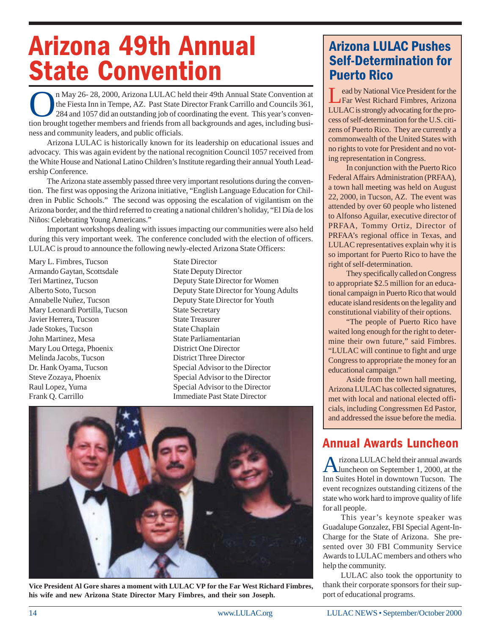# **Arizona 49th Annual State Convention**

n May 26- 28, 2000, Arizona LULAC held their 49th Annual State Convention at<br>the Fiesta Inn in Tempe, AZ. Past State Director Frank Carrillo and Councils 361,<br>284 and 1057 did an outstanding job of coordinating the event. the Fiesta Inn in Tempe, AZ. Past State Director Frank Carrillo and Councils 361, 284 and 1057 did an outstanding job of coordinating the event. This year's convention brought together members and friends from all backgrounds and ages, including business and community leaders, and public officials.

Arizona LULAC is historically known for its leadership on educational issues and advocacy. This was again evident by the national recognition Council 1057 received from the White House and National Latino Children's Institute regarding their annual Youth Leadership Conference.

The Arizona state assembly passed three very important resolutions during the convention. The first was opposing the Arizona initiative, "English Language Education for Children in Public Schools." The second was opposing the escalation of vigilantism on the Arizona border, and the third referred to creating a national children's holiday, "El Día de los Niños: Celebrating Young Americans."

Important workshops dealing with issues impacting our communities were also held during this very important week. The conference concluded with the election of officers. LULAC is proud to announce the following newly-elected Arizona State Officers:

Mary L. Fimbres, Tucson State Director Armando Gaytan, Scottsdale State Deputy Director Mary Leonardi Portilla, Tucson State Secretary Javier Herrera, Tucson State Treasurer **Jade Stokes, Tucson** State Chaplain John Martinez, Mesa State Parliamentarian Mary Lou Ortega, Phoenix District One Director Melinda Jacobs, Tucson District Three Director Dr. Hank Oyama, Tucson Special Advisor to the Director Steve Zozaya, Phoenix Special Advisor to the Director Raul Lopez, Yuma Special Advisor to the Director Frank Q. Carrillo **Immediate Past State Director** 

Teri Martinez, Tucson Deputy State Director for Women Alberto Soto, Tucson Deputy State Director for Young Adults Annabelle Nuñez, Tucson Deputy State Director for Youth



**Vice President Al Gore shares a moment with LULAC VP for the Far West Richard Fimbres, his wife and new Arizona State Director Mary Fimbres, and their son Joseph.**

#### **Arizona LULAC Pushes Self-Determination for Puerto Rico**

Lead by National Vice President for the<br>Far West Richard Fimbres, Arizona LULAC is strongly advocating for the process of self-determination for the U.S. citizens of Puerto Rico. They are currently a commonwealth of the United States with no rights to vote for President and no voting representation in Congress.

In conjunction with the Puerto Rico Federal Affairs Administration (PRFAA), a town hall meeting was held on August 22, 2000, in Tucson, AZ. The event was attended by over 60 people who listened to Alfonso Aguilar, executive director of PRFAA, Tommy Ortiz, Director of PRFAA's regional office in Texas, and LULAC representatives explain why it is so important for Puerto Rico to have the right of self-determination.

They specifically called on Congress to appropriate \$2.5 million for an educational campaign in Puerto Rico that would educate island residents on the legality and constitutional viability of their options.

"The people of Puerto Rico have waited long enough for the right to determine their own future," said Fimbres. "LULAC will continue to fight and urge Congress to appropriate the money for an educational campaign."

Aside from the town hall meeting, Arizona LULAC has collected signatures, met with local and national elected officials, including Congressmen Ed Pastor, and addressed the issue before the media.

#### **Annual Awards Luncheon**

Arizona LULAC held their annual awards luncheon on September 1, 2000, at the Inn Suites Hotel in downtown Tucson. The event recognizes outstanding citizens of the state who work hard to improve quality of life for all people.

This year's keynote speaker was Guadalupe Gonzalez, FBI Special Agent-In-Charge for the State of Arizona. She presented over 30 FBI Community Service Awards to LULAC members and others who help the community.

LULAC also took the opportunity to thank their corporate sponsors for their support of educational programs.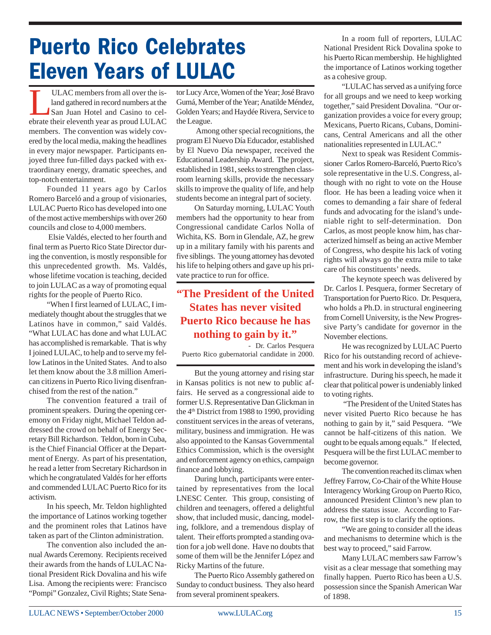## **Puerto Rico Celebrates Eleven Years of LULAC**

ULAC members from all over the is-<br>land gathered in record numbers at the<br>San Juan Hotel and Casino to cel-<br>ebrate their eleventh year as proud I III AC land gathered in record numbers at the San Juan Hotel and Casino to celebrate their eleventh year as proud LULAC members. The convention was widely covered by the local media, making the headlines in every major newspaper. Participants enjoyed three fun-filled days packed with extraordinary energy, dramatic speeches, and top-notch entertainment.

Founded 11 years ago by Carlos Romero Barceló and a group of visionaries, LULAC Puerto Rico has developed into one of the most active memberships with over 260 councils and close to 4,000 members.

 Elsie Valdés, elected to her fourth and final term as Puerto Rico State Director during the convention, is mostly responsible for this unprecedented growth. Ms. Valdés, whose lifetime vocation is teaching, decided to join LULAC as a way of promoting equal rights for the people of Puerto Rico.

"When I first learned of LULAC, I immediately thought about the struggles that we Latinos have in common," said Valdés. "What LULAC has done and what LULAC has accomplished is remarkable. That is why I joined LULAC, to help and to serve my fellow Latinos in the United States. And to also let them know about the 3.8 million American citizens in Puerto Rico living disenfranchised from the rest of the nation."

The convention featured a trail of prominent speakers. During the opening ceremony on Friday night, Michael Teldon addressed the crowd on behalf of Energy Secretary Bill Richardson. Teldon, born in Cuba, is the Chief Financial Officer at the Department of Energy. As part of his presentation, he read a letter from Secretary Richardson in which he congratulated Valdés for her efforts and commended LULAC Puerto Rico for its activism.

In his speech, Mr. Teldon highlighted the importance of Latinos working together and the prominent roles that Latinos have taken as part of the Clinton administration.

The convention also included the annual Awards Ceremony. Recipients received their awards from the hands of LULAC National President Rick Dovalina and his wife Lisa. Among the recipients were: Francisco "Pompi" Gonzalez, Civil Rights; State Senator Lucy Arce, Women of the Year; José Bravo Gumá, Member of the Year; Anatilde Méndez, Golden Years; and Haydée Rivera, Service to the League.

 Among other special recognitions, the program El Nuevo Día Educador, established by El Nuevo Día newspaper, received the Educational Leadership Award. The project, established in 1981, seeks to strengthen classroom learning skills, provide the necessary skills to improve the quality of life, and help students become an integral part of society.

On Saturday morning, LULAC Youth members had the opportunity to hear from Congressional candidate Carlos Nolla of Wichita, KS. Born in Glendale, AZ, he grew up in a military family with his parents and five siblings. The young attorney has devoted his life to helping others and gave up his private practice to run for office.

#### **"The President of the United States has never visited Puerto Rico because he has nothing to gain by it."**

 - Dr. Carlos Pesquera Puerto Rico gubernatorial candidate in 2000.

But the young attorney and rising star in Kansas politics is not new to public affairs. He served as a congressional aide to former U.S. Representative Dan Glickman in the  $4<sup>th</sup>$  District from 1988 to 1990, providing constituent services in the areas of veterans, military, business and immigration. He was also appointed to the Kansas Governmental Ethics Commission, which is the oversight and enforcement agency on ethics, campaign finance and lobbying.

During lunch, participants were entertained by representatives from the local LNESC Center. This group, consisting of children and teenagers, offered a delightful show, that included music, dancing, modeling, folklore, and a tremendous display of talent. Their efforts prompted a standing ovation for a job well done. Have no doubts that some of them will be the Jennifer López and Ricky Martins of the future.

The Puerto Rico Assembly gathered on Sunday to conduct business. They also heard from several prominent speakers.

In a room full of reporters, LULAC National President Rick Dovalina spoke to his Puerto Rican membership. He highlighted the importance of Latinos working together as a cohesive group.

"LULAC has served as a unifying force for all groups and we need to keep working together," said President Dovalina. "Our organization provides a voice for every group; Mexicans, Puerto Ricans, Cubans, Dominicans, Central Americans and all the other nationalities represented in LULAC."

Next to speak was Resident Commissioner Carlos Romero-Barceló, Puerto Rico's sole representative in the U.S. Congress, although with no right to vote on the House floor. He has been a leading voice when it comes to demanding a fair share of federal funds and advocating for the island's undeniable right to self-determination. Don Carlos, as most people know him, has characterized himself as being an active Member of Congress, who despite his lack of voting rights will always go the extra mile to take care of his constituents' needs.

The keynote speech was delivered by Dr. Carlos I. Pesquera, former Secretary of Transportation for Puerto Rico. Dr. Pesquera, who holds a Ph.D. in structural engineering from Cornell University, is the New Progressive Party's candidate for governor in the November elections.

He was recognized by LULAC Puerto Rico for his outstanding record of achievement and his work in developing the island's infrastructure. During his speech, he made it clear that political power is undeniably linked to voting rights.

 "The President of the United States has never visited Puerto Rico because he has nothing to gain by it," said Pesquera. "We cannot be half-citizens of this nation. We ought to be equals among equals." If elected, Pesquera will be the first LULAC member to become governor.

The convention reached its climax when Jeffrey Farrow, Co-Chair of the White House Interagency Working Group on Puerto Rico, announced President Clinton's new plan to address the status issue. According to Farrow, the first step is to clarify the options.

"We are going to consider all the ideas and mechanisms to determine which is the best way to proceed," said Farrow.

Many LULAC members saw Farrow's visit as a clear message that something may finally happen. Puerto Rico has been a U.S. possession since the Spanish American War of 1898.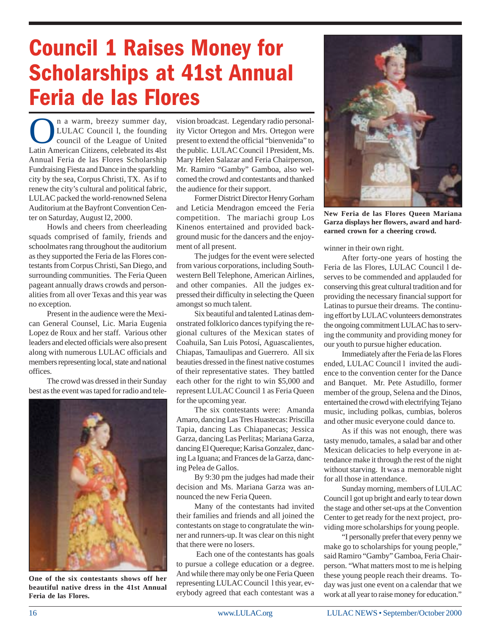## **Council 1 Raises Money for Scholarships at 41st Annual** Feria de las Flores

n a warm, breezy summer day,<br>LULAC Council 1, the founding<br>council of the League of United<br>Latin American Citizens, celebrated its 4lst LULAC Council l, the founding council of the League of United Latin American Citizens, celebrated its 4lst Annual Feria de las Flores Scholarship Fundraising Fiesta and Dance in the sparkling city by the sea, Corpus Christi, TX. As if to renew the city's cultural and political fabric, LULAC packed the world-renowned Selena Auditorium at the Bayfront Convention Center on Saturday, August l2, 2000.

Howls and cheers from cheerleading squads comprised of family, friends and schoolmates rang throughout the auditorium as they supported the Feria de las Flores contestants from Corpus Christi, San Diego, and surrounding communities. The Feria Queen pageant annually draws crowds and personalities from all over Texas and this year was no exception.

Present in the audience were the Mexican General Counsel, Lic. Maria Eugenia Lopez de Roux and her staff. Various other leaders and elected officials were also present along with numerous LULAC officials and members representing local, state and national offices.

The crowd was dressed in their Sunday best as the event was taped for radio and tele-



**One of the six contestants shows off her beautiful native dress in the 41st Annual Feria de las Flores.**

vision broadcast. Legendary radio personality Victor Ortegon and Mrs. Ortegon were present to extend the official "bienvenida" to the public. LULAC Council l President, Ms. Mary Helen Salazar and Feria Chairperson, Mr. Ramiro "Gamby" Gamboa, also welcomed the crowd and contestants and thanked the audience for their support.

Former District Director Henry Gorham and Leticia Mendragon emceed the Feria competition. The mariachi group Los Kinenos entertained and provided background music for the dancers and the enjoyment of all present.

The judges for the event were selected from various corporations, including Southwestern Bell Telephone, American Airlines, and other companies. All the judges expressed their difficulty in selecting the Queen amongst so much talent.

Six beautiful and talented Latinas demonstrated folklorico dances typifying the regional cultures of the Mexican states of Coahuila, San Luis Potosí, Aguascalientes, Chiapas, Tamaulipas and Guerrero. All six beauties dressed in the finest native costumes of their representative states. They battled each other for the right to win \$5,000 and represent LULAC Council 1 as Feria Queen for the upcoming year.

The six contestants were: Amanda Amaro, dancing Las Tres Huastecas: Priscilla Tapia, dancing Las Chiapanecas; Jessica Garza, dancing Las Perlitas; Mariana Garza, dancing El Quereque; Karisa Gonzalez, dancing La Iguana; and Frances de la Garza, dancing Pelea de Gallos.

By 9:30 pm the judges had made their decision and Ms. Mariana Garza was announced the new Feria Queen.

Many of the contestants had invited their families and friends and all joined the contestants on stage to congratulate the winner and runners-up. It was clear on this night that there were no losers.

 Each one of the contestants has goals to pursue a college education or a degree. And while there may only be one Feria Queen representing LULAC Council l this year, everybody agreed that each contestant was a



**New Feria de las Flores Queen Mariana Garza displays her flowers, award and hardearned crown for a cheering crowd.**

winner in their own right.

After forty-one years of hosting the Feria de las Flores, LULAC Council l deserves to be commended and applauded for conserving this great cultural tradition and for providing the necessary financial support for Latinas to pursue their dreams. The continuing effort by LULAC volunteers demonstrates the ongoing commitment LULAC has to serving the community and providing money for our youth to pursue higher education.

Immediately after the Feria de las Flores ended, LULAC Council l invited the audience to the convention center for the Dance and Banquet. Mr. Pete Astudillo, former member of the group, Selena and the Dinos, entertained the crowd with electrifying Tejano music, including polkas, cumbias, boleros and other music everyone could dance to.

As if this was not enough, there was tasty menudo, tamales, a salad bar and other Mexican delicacies to help everyone in attendance make it through the rest of the night without starving. It was a memorable night for all those in attendance.

Sunday morning, members of LULAC Council l got up bright and early to tear down the stage and other set-ups at the Convention Center to get ready for the next project, providing more scholarships for young people.

"I personally prefer that every penny we make go to scholarships for young people," said Ramiro "Gamby" Gamboa, Feria Chairperson. "What matters most to me is helping these young people reach their dreams. Today was just one event on a calendar that we work at all year to raise money for education."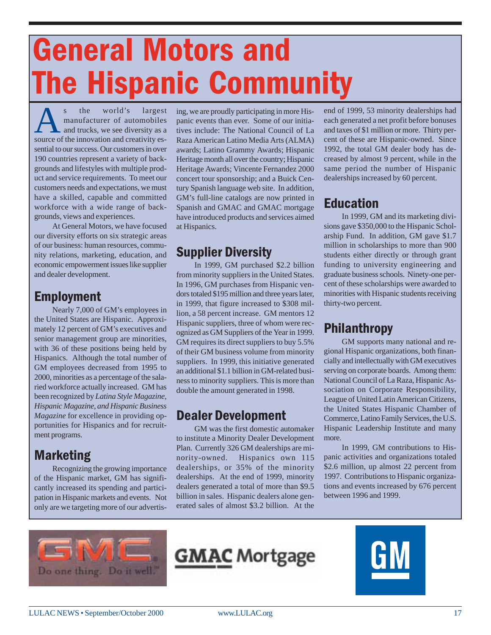# **General Motors and The Hispanic Community**

s the world's largest<br>manufacturer of automobiles<br>and trucks, we see diversity as a<br>source of the innovation and creativity esmanufacturer of automobiles and trucks, we see diversity as a source of the innovation and creativity essential to our success. Our customers in over 190 countries represent a variety of backgrounds and lifestyles with multiple product and service requirements. To meet our customers needs and expectations, we must have a skilled, capable and committed workforce with a wide range of backgrounds, views and experiences.

At General Motors, we have focused our diversity efforts on six strategic areas of our business: human resources, community relations, marketing, education, and economic empowerment issues like supplier and dealer development.

#### **Employment**

Nearly 7,000 of GM's employees in the United States are Hispanic. Approximately 12 percent of GM's executives and senior management group are minorities, with 36 of these positions being held by Hispanics. Although the total number of GM employees decreased from 1995 to 2000, minorities as a percentage of the salaried workforce actually increased. GM has been recognized by *Latina Style Magazine, Hispanic Magazine, and Hispanic Business Magazine* for excellence in providing opportunities for Hispanics and for recruitment programs.

### **Marketing**

Recognizing the growing importance of the Hispanic market, GM has significantly increased its spending and participation in Hispanic markets and events. Not only are we targeting more of our advertising, we are proudly participating in more Hispanic events than ever. Some of our initiatives include: The National Council of La Raza American Latino Media Arts (ALMA) awards; Latino Grammy Awards; Hispanic Heritage month all over the country; Hispanic Heritage Awards; Vincente Fernandez 2000 concert tour sponsorship; and a Buick Century Spanish language web site. In addition, GM's full-line catalogs are now printed in Spanish and GMAC and GMAC mortgage have introduced products and services aimed at Hispanics.

### **Supplier Diversity**

In 1999, GM purchased \$2.2 billion from minority suppliers in the United States. In 1996, GM purchases from Hispanic vendors totaled \$195 million and three years later, in 1999, that figure increased to \$308 million, a 58 percent increase. GM mentors 12 Hispanic suppliers, three of whom were recognized as GM Suppliers of the Year in 1999. GM requires its direct suppliers to buy 5.5% of their GM business volume from minority suppliers. In 1999, this initiative generated an additional \$1.1 billion in GM-related business to minority suppliers. This is more than double the amount generated in 1998.

### **Dealer Development**

GM was the first domestic automaker to institute a Minority Dealer Development Plan. Currently 326 GM dealerships are minority-owned. Hispanics own 115 dealerships, or 35% of the minority dealerships. At the end of 1999, minority dealers generated a total of more than \$9.5 billion in sales. Hispanic dealers alone generated sales of almost \$3.2 billion. At the

end of 1999, 53 minority dealerships had each generated a net profit before bonuses and taxes of \$1 million or more. Thirty percent of these are Hispanic-owned. Since 1992, the total GM dealer body has decreased by almost 9 percent, while in the same period the number of Hispanic dealerships increased by 60 percent.

### Education

In 1999, GM and its marketing divisions gave \$350,000 to the Hispanic Scholarship Fund. In addition, GM gave \$1.7 million in scholarships to more than 900 students either directly or through grant funding to university engineering and graduate business schools. Ninety-one percent of these scholarships were awarded to minorities with Hispanic students receiving thirty-two percent.

### Philanthropy

GM supports many national and regional Hispanic organizations, both financially and intellectually with GM executives serving on corporate boards. Among them: National Council of La Raza, Hispanic Association on Corporate Responsibility, League of United Latin American Citizens, the United States Hispanic Chamber of Commerce, Latino Family Services, the U.S. Hispanic Leadership Institute and many more.

In 1999, GM contributions to Hispanic activities and organizations totaled \$2.6 million, up almost 22 percent from 1997. Contributions to Hispanic organizations and events increased by 676 percent between 1996 and 1999.





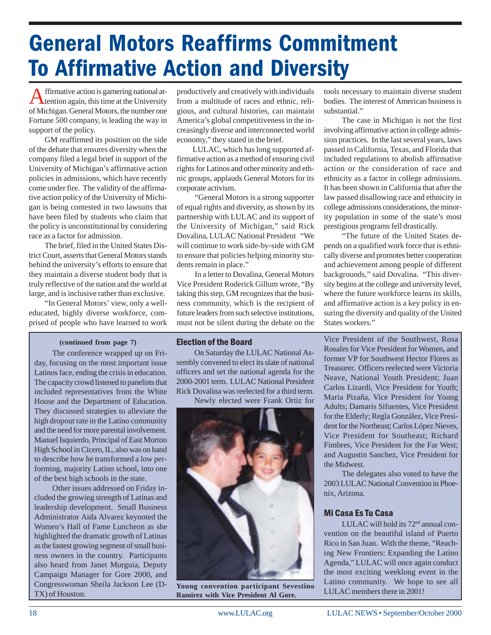# **General Motors Reaffirms Commitment To Affirmative Action and Diversity**

Affirmative action is garnering national at-tention again, this time at the University of Michigan. General Motors, the number one Fortune 500 company, is leading the way in support of the policy.

GM reaffirmed its position on the side of the debate that ensures diversity when the company filed a legal brief in support of the University of Michigan's affirmative action policies in admissions, which have recently come under fire. The validity of the affirmative action policy of the University of Michigan is being contested in two lawsuits that have been filed by students who claim that the policy is unconstitutional by considering race as a factor for admission.

The brief, filed in the United States District Court, asserts that General Motors stands behind the university's efforts to ensure that they maintain a diverse student body that is truly reflective of the nation and the world at large, and is inclusive rather than exclusive.

"In General Motors' view, only a welleducated, highly diverse workforce, comprised of people who have learned to work

#### **(continued from page 7)**

The conference wrapped up on Friday, focusing on the most important issue Latinos face, ending the crisis in education. The capacity crowd listened to panelists that included representatives from the White House and the Department of Education. They discussed strategies to alleviate the high dropout rate in the Latino community and the need for more parental involvement. Manuel Isquierdo, Principal of East Morton High School in Cicero, IL, also was on hand to describe how he transformed a low performing, majority Latino school, into one of the best high schools in the state.

Other issues addressed on Friday included the growing strength of Latinas and leadership development. Small Business Administrator Aida Alvarez keynoted the Women's Hall of Fame Luncheon as she highlighted the dramatic growth of Latinas as the fastest growing segment of small business owners in the country. Participants also heard from Janet Murguia, Deputy Campaign Manager for Gore 2000, and Congresswoman Sheila Jackson Lee (D-TX) of Houston.

productively and creatively with individuals from a multitude of races and ethnic, religious, and cultural histories, can maintain America's global competitiveness in the increasingly diverse and interconnected world economy," they stated in the brief.

LULAC, which has long supported affirmative action as a method of ensuring civil rights for Latinos and other minority and ethnic groups, applauds General Motors for its corporate activism.

"General Motors is a strong supporter of equal rights and diversity, as shown by its partnership with LULAC and its support of the University of Michigan," said Rick Dovalina, LULAC National President "We will continue to work side-by-side with GM to ensure that policies helping minority students remain in place."

In a letter to Dovalina, General Motors Vice President Roderick Gillum wrote, "By taking this step, GM recognizes that the business community, which is the recipient of future leaders from such selective institutions, must not be silent during the debate on the tools necessary to maintain diverse student bodies. The interest of American business is substantial."

The case in Michigan is not the first involving affirmative action in college admission practices. In the last several years, laws passed in California, Texas, and Florida that included regulations to abolish affirmative action or the consideration of race and ethnicity as a factor in college admissions. It has been shown in California that after the law passed disallowing race and ethnicity in college admissions considerations, the minority population in some of the state's most prestigious programs fell drastically.

"The future of the United States depends on a qualified work force that is ethnically diverse and promotes better cooperation and achievement among people of different backgrounds," said Dovalina. "This diversity begins at the college and university level, where the future workforce learns its skills, and affirmative action is a key policy in ensuring the diversity and quality of the United States workers."

#### **Election of the Board**

On Saturday the LULAC National Assembly convened to elect its slate of national officers and set the national agenda for the 2000-2001 term. LULAC National President Rick Dovalina was reelected for a third term.

Newly elected were Frank Ortiz for



**Young convention participant Sevestino Ramirez with Vice President Al Gore.**

Vice President of the Southwest, Rosa Rosales for Vice President for Women, and former VP for Southwest Hector Flores as Treasurer. Officers reelected were Victoria Neave, National Youth President; Juan Carlos Lizardi, Vice President for Youth; Maria Pizaña, Vice President for Young Adults; Damaris Sifuentes, Vice President for the Elderly; Regla González, Vice President for the Northeast; Carlos López Nieves, Vice President for Southeast; Richard Fimbres, Vice President for the Far West; and Augustin Sanchez, Vice President for the Midwest.

The delegates also voted to have the 2003 LULAC National Convention in Phoenix, Arizona.

#### **Mi Casa Es Tu Casa**

LULAC will hold its  $72<sup>nd</sup>$  annual convention on the beautiful island of Puerto Rico in San Juan. With the theme, "Reaching New Frontiers: Expanding the Latino Agenda," LULAC will once again conduct the most exciting weeklong event in the Latino community. We hope to see all LULAC members there in 2001!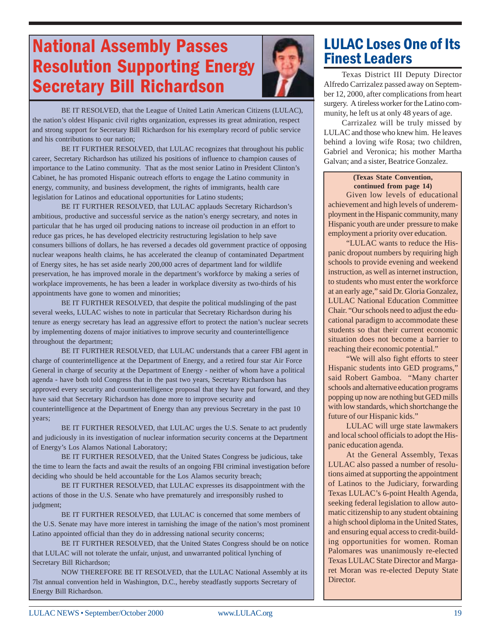### **National Assembly Passes Resolution Supporting Energy Secretary Bill Richardson**



BE IT RESOLVED, that the League of United Latin American Citizens (LULAC), the nation's oldest Hispanic civil rights organization, expresses its great admiration, respect and strong support for Secretary Bill Richardson for his exemplary record of public service and his contributions to our nation;

BE IT FURTHER RESOLVED, that LULAC recognizes that throughout his public career, Secretary Richardson has utilized his positions of influence to champion causes of importance to the Latino community. That as the most senior Latino in President Clinton's Cabinet, he has promoted Hispanic outreach efforts to engage the Latino community in energy, community, and business development, the rights of immigrants, health care legislation for Latinos and educational opportunities for Latino students;

BE IT FURTHER RESOLVED, that LULAC applauds Secretary Richardson's ambitious, productive and successful service as the nation's energy secretary, and notes in particular that he has urged oil producing nations to increase oil production in an effort to reduce gas prices, he has developed electricity restructuring legislation to help save consumers billions of dollars, he has reversed a decades old government practice of opposing nuclear weapons health claims, he has accelerated the cleanup of contaminated Department of Energy sites, he has set aside nearly 200,000 acres of department land for wildlife preservation, he has improved morale in the department's workforce by making a series of workplace improvements, he has been a leader in workplace diversity as two-thirds of his appointments have gone to women and minorities;

BE IT FURTHER RESOLVED, that despite the political mudslinging of the past several weeks, LULAC wishes to note in particular that Secretary Richardson during his tenure as energy secretary has lead an aggressive effort to protect the nation's nuclear secrets by implementing dozens of major initiatives to improve security and counterintelligence throughout the department;

BE IT FURTHER RESOLVED, that LULAC understands that a career FBI agent in charge of counterintelligence at the Department of Energy, and a retired four star Air Force General in charge of security at the Department of Energy - neither of whom have a political agenda - have both told Congress that in the past two years, Secretary Richardson has approved every security and counterintelligence proposal that they have put forward, and they have said that Secretary Richardson has done more to improve security and counterintelligence at the Department of Energy than any previous Secretary in the past 10 years;

BE IT FURTHER RESOLVED, that LULAC urges the U.S. Senate to act prudently and judiciously in its investigation of nuclear information security concerns at the Department of Energy's Los Alamos National Laboratory;

BE IT FURTHER RESOLVED, that the United States Congress be judicious, take the time to learn the facts and await the results of an ongoing FBI criminal investigation before deciding who should be held accountable for the Los Alamos security breach;

BE IT FURTHER RESOLVED, that LULAC expresses its disappointment with the actions of those in the U.S. Senate who have prematurely and irresponsibly rushed to judgment;

BE IT FURTHER RESOLVED, that LULAC is concerned that some members of the U.S. Senate may have more interest in tarnishing the image of the nation's most prominent Latino appointed official than they do in addressing national security concerns;

BE IT FURTHER RESOLVED, that the United States Congress should be on notice that LULAC will not tolerate the unfair, unjust, and unwarranted political lynching of Secretary Bill Richardson;

NOW THEREFORE BE IT RESOLVED, that the LULAC National Assembly at its 7lst annual convention held in Washington, D.C., hereby steadfastly supports Secretary of Energy Bill Richardson.

### **LULAC Loses One of Its Finest Leaders**

Texas District III Deputy Director Alfredo Carrizalez passed away on September 12, 2000, after complications from heart surgery. A tireless worker for the Latino community, he left us at only 48 years of age.

Carrizalez will be truly missed by LULAC and those who knew him. He leaves behind a loving wife Rosa; two children, Gabriel and Veronica; his mother Martha Galvan; and a sister, Beatrice Gonzalez.

#### **(Texas State Convention, continued from page 14)**

Given low levels of educational achievement and high levels of underemployment in the Hispanic community, many Hispanic youth are under pressure to make employment a priority over education.

"LULAC wants to reduce the Hispanic dropout numbers by requiring high schools to provide evening and weekend instruction, as well as internet instruction, to students who must enter the workforce at an early age," said Dr. Gloria Gonzalez, LULAC National Education Committee Chair. "Our schools need to adjust the educational paradigm to accommodate these students so that their current economic situation does not become a barrier to reaching their economic potential."

"We will also fight efforts to steer Hispanic students into GED programs," said Robert Gamboa. "Many charter schools and alternative education programs popping up now are nothing but GED mills with low standards, which shortchange the future of our Hispanic kids."

LULAC will urge state lawmakers and local school officials to adopt the Hispanic education agenda.

At the General Assembly, Texas LULAC also passed a number of resolutions aimed at supporting the appointment of Latinos to the Judiciary, forwarding Texas LULAC's 6-point Health Agenda, seeking federal legislation to allow automatic citizenship to any student obtaining a high school diploma in the United States, and ensuring equal access to credit-building opportunities for women. Roman Palomares was unanimously re-elected Texas LULAC State Director and Margaret Moran was re-elected Deputy State Director.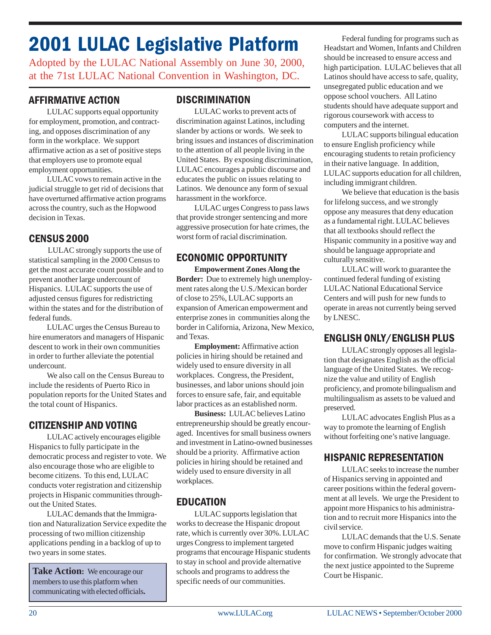### 2001 LULAC Legislative Platform

Adopted by the LULAC National Assembly on June 30, 2000, at the 71st LULAC National Convention in Washington, DC.

#### **AFFIRMATIVE ACTION**

LULAC supports equal opportunity for employment, promotion, and contracting, and opposes discrimination of any form in the workplace. We support affirmative action as a set of positive steps that employers use to promote equal employment opportunities.

LULAC vows to remain active in the ` judicial struggle to get rid of decisions that have overturned affirmative action programs across the country, such as the Hopwood decision in Texas.

#### **CENSUS 2000**

LULAC strongly supports the use of statistical sampling in the 2000 Census to get the most accurate count possible and to prevent another large undercount of Hispanics. LULAC supports the use of adjusted census figures for redistricting within the states and for the distribution of federal funds.

LULAC urges the Census Bureau to hire enumerators and managers of Hispanic descent to work in their own communities in order to further alleviate the potential undercount.

We also call on the Census Bureau to include the residents of Puerto Rico in population reports for the United States and the total count of Hispanics.

#### CITIZENSHIP AND VOTING

LULAC actively encourages eligible Hispanics to fully participate in the democratic process and register to vote. We also encourage those who are eligible to become citizens. To this end, LULAC conducts voter registration and citizenship projects in Hispanic communities throughout the United States.

LULAC demands that the Immigration and Naturalization Service expedite the processing of two million citizenship applications pending in a backlog of up to two years in some states.

**Take Action:** We encourage our members to use this platform when communicating with elected officials**.**

#### **DISCRIMINATION**

LULAC works to prevent acts of discrimination against Latinos, including slander by actions or words. We seek to bring issues and instances of discrimination to the attention of all people living in the United States. By exposing discrimination, LULAC encourages a public discourse and educates the public on issues relating to Latinos. We denounce any form of sexual harassment in the workforce.

LULAC urges Congress to pass laws that provide stronger sentencing and more aggressive prosecution for hate crimes, the worst form of racial discrimination.

#### ECONOMIC OPPORTUNITY

**Empowerment Zones Along the Border:** Due to extremely high unemployment rates along the U.S./Mexican border of close to 25%, LULAC supports an expansion of American empowerment and enterprise zones in communities along the border in California, Arizona, New Mexico, and Texas.

**Employment:** Affirmative action policies in hiring should be retained and widely used to ensure diversity in all workplaces. Congress, the President, businesses, and labor unions should join forces to ensure safe, fair, and equitable labor practices as an established norm.

**Business:** LULAC believes Latino entrepreneurship should be greatly encouraged. Incentives for small business owners and investment in Latino-owned businesses should be a priority. Affirmative action policies in hiring should be retained and widely used to ensure diversity in all workplaces.

#### **EDUCATION**

LULAC supports legislation that works to decrease the Hispanic dropout rate, which is currently over 30%. LULAC urges Congress to implement targeted programs that encourage Hispanic students to stay in school and provide alternative schools and programs to address the specific needs of our communities.

Federal funding for programs such as Headstart and Women, Infants and Children should be increased to ensure access and high participation. LULAC believes that all Latinos should have access to safe, quality, unsegregated public education and we oppose school vouchers. All Latino students should have adequate support and rigorous coursework with access to computers and the internet.

LULAC supports bilingual education to ensure English proficiency while encouraging students to retain proficiency in their native language. In addition, LULAC supports education for all children, including immigrant children.

We believe that education is the basis for lifelong success, and we strongly oppose any measures that deny education as a fundamental right. LULAC believes that all textbooks should reflect the Hispanic community in a positive way and should be language appropriate and culturally sensitive.

LULAC will work to guarantee the continued federal funding of existing LULAC National Educational Service Centers and will push for new funds to operate in areas not currently being served by LNESC.

#### ENGLISH ONLY/ENGLISH PLUS

LULAC strongly opposes all legislation that designates English as the official language of the United States. We recognize the value and utility of English proficiency, and promote bilingualism and multilingualism as assets to be valued and preserved.

LULAC advocates English Plus as a way to promote the learning of English without forfeiting one's native language.

#### HISPANIC REPRESENTATION

LULAC seeks to increase the number of Hispanics serving in appointed and career positions within the federal government at all levels. We urge the President to appoint more Hispanics to his administration and to recruit more Hispanics into the civil service.

LULAC demands that the U.S. Senate move to confirm Hispanic judges waiting for confirmation. We strongly advocate that the next justice appointed to the Supreme Court be Hispanic.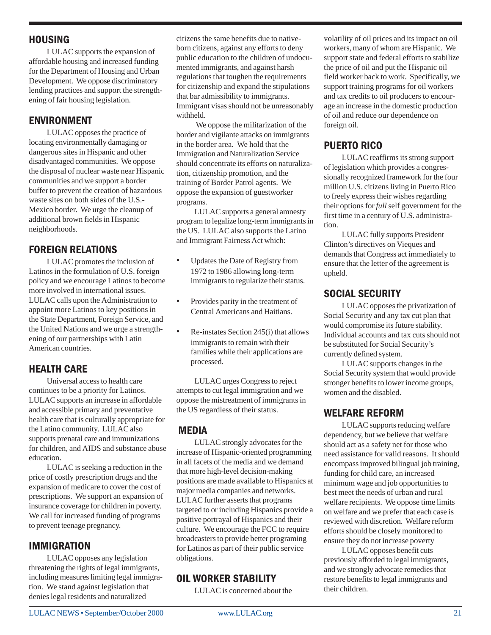#### **HOUSING**

LULAC supports the expansion of affordable housing and increased funding for the Department of Housing and Urban Development. We oppose discriminatory lending practices and support the strengthening of fair housing legislation.

#### **ENVIRONMENT**

LULAC opposes the practice of locating environmentally damaging or dangerous sites in Hispanic and other disadvantaged communities. We oppose the disposal of nuclear waste near Hispanic communities and we support a border buffer to prevent the creation of hazardous `waste sites on both sides of the U.S.- Mexico border. We urge the cleanup of additional brown fields in Hispanic neighborhoods.

#### **FOREIGN RELATIONS**

LULAC promotes the inclusion of Latinos in the formulation of U.S. foreign policy and we encourage Latinos to become more involved in international issues. LULAC calls upon the Administration to appoint more Latinos to key positions in the State Department, Foreign Service, and the United Nations and we urge a strengthening of our partnerships with Latin American countries.

#### **HEALTH CARE**

Universal access to health care continues to be a priority for Latinos. LULAC supports an increase in affordable and accessible primary and preventative health care that is culturally appropriate for the Latino community. LULAC also supports prenatal care and immunizations for children, and AIDS and substance abuse education.

LULAC is seeking a reduction in the price of costly prescription drugs and the expansion of medicare to cover the cost of prescriptions. We support an expansion of insurance coverage for children in poverty. We call for increased funding of programs to prevent teenage pregnancy.

#### **IMMIGRATION**

LULAC opposes any legislation threatening the rights of legal immigrants, including measures limiting legal immigration. We stand against legislation that denies legal residents and naturalized

citizens the same benefits due to nativeborn citizens, against any efforts to deny public education to the children of undocumented immigrants, and against harsh regulations that toughen the requirements for citizenship and expand the stipulations that bar admissibility to immigrants. Immigrant visas should not be unreasonably withheld.

We oppose the militarization of the border and vigilante attacks on immigrants in the border area. We hold that the Immigration and Naturalization Service should concentrate its efforts on naturalization, citizenship promotion, and the training of Border Patrol agents. We oppose the expansion of guestworker programs.

LULAC supports a general amnesty program to legalize long-term immigrants in the US. LULAC also supports the Latino and Immigrant Fairness Act which:

- Updates the Date of Registry from 1972 to 1986 allowing long-term immigrants to regularize their status.
- Provides parity in the treatment of Central Americans and Haitians.
- Re-instates Section 245(i) that allows immigrants to remain with their families while their applications are processed.

LULAC urges Congress to reject attempts to cut legal immigration and we oppose the mistreatment of immigrants in the US regardless of their status.

#### **MEDIA**

LULAC strongly advocates for the increase of Hispanic-oriented programming in all facets of the media and we demand that more high-level decision-making positions are made available to Hispanics at major media companies and networks. LULAC further asserts that programs targeted to or including Hispanics provide a positive portrayal of Hispanics and their culture. We encourage the FCC to require broadcasters to provide better programing for Latinos as part of their public service obligations.

#### **OIL WORKER STABILITY**

LULAC is concerned about the

volatility of oil prices and its impact on oil workers, many of whom are Hispanic. We support state and federal efforts to stabilize the price of oil and put the Hispanic oil field worker back to work. Specifically, we support training programs for oil workers and tax credits to oil producers to encourage an increase in the domestic production of oil and reduce our dependence on foreign oil.

#### PUERTO RICO

LULAC reaffirms its strong support of legislation which provides a congressionally recognized framework for the four million U.S. citizens living in Puerto Rico to freely express their wishes regarding their options for *full* self government for the first time in a century of U.S. administration.

LULAC fully supports President Clinton's directives on Vieques and demands that Congress act immediately to ensure that the letter of the agreement is upheld.

#### SOCIAL SECURITY

LULAC opposes the privatization of Social Security and any tax cut plan that would compromise its future stability. Individual accounts and tax cuts should not be substituted for Social Security's currently defined system.

LULAC supports changes in the Social Security system that would provide stronger benefits to lower income groups, women and the disabled.

#### **WELFARE REFORM**

LULAC supports reducing welfare dependency, but we believe that welfare should act as a safety net for those who need assistance for valid reasons. It should encompass improved bilingual job training, funding for child care, an increased minimum wage and job opportunities to best meet the needs of urban and rural welfare recipients. We oppose time limits on welfare and we prefer that each case is reviewed with discretion. Welfare reform efforts should be closely monitored to ensure they do not increase poverty

LULAC opposes benefit cuts previously afforded to legal immigrants, and we strongly advocate remedies that restore benefits to legal immigrants and their children.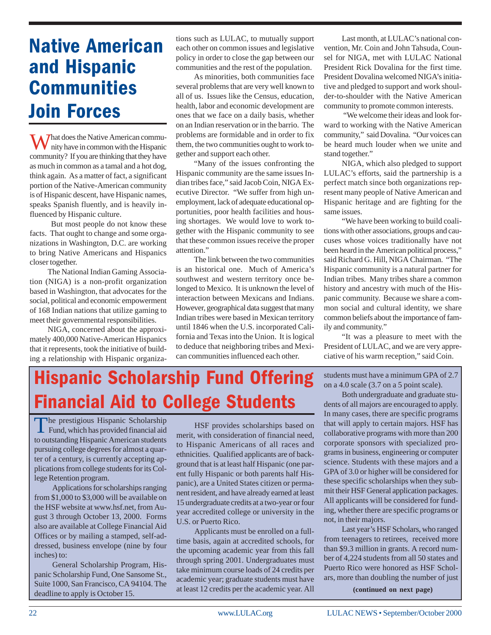### **Native American** and Hispanic **Communities Join Forces**

What does the Native American community have in common with the Hispanic community? If you are thinking that they have as much in common as a tamal and a hot dog, think again. As a matter of fact, a significant portion of the Native-American community is of Hispanic descent, have Hispanic names, speaks Spanish fluently, and is heavily influenced by Hispanic culture.

But most people do not know these facts. That ought to change and some organizations in Washington, D.C. are working to bring Native Americans and Hispanics closer together.

The National Indian Gaming Association (NIGA) is a non-profit organization based in Washington, that advocates for the social, political and economic empowerment of 168 Indian nations that utilize gaming to meet their governmental responsibilities.

NIGA, concerned about the approximately 400,000 Native-American Hispanics that it represents, took the initiative of building a relationship with Hispanic organiza-

tions such as LULAC, to mutually support each other on common issues and legislative policy in order to close the gap between our communities and the rest of the population.

As minorities, both communities face several problems that are very well known to all of us. Issues like the Census, education, health, labor and economic development are ones that we face on a daily basis, whether on an Indian reservation or in the barrio. The problems are formidable and in order to fix them, the two communities ought to work together and support each other.

"Many of the issues confronting the Hispanic community are the same issues Indian tribes face," said Jacob Coin, NIGA Executive Director. "We suffer from high unemployment, lack of adequate educational opportunities, poor health facilities and housing shortages. We would love to work together with the Hispanic community to see that these common issues receive the proper attention."

The link between the two communities is an historical one. Much of America's southwest and western territory once belonged to Mexico. It is unknown the level of interaction between Mexicans and Indians. However, geographical data suggest that many Indian tribes were based in Mexican territory until 1846 when the U.S. incorporated California and Texas into the Union. It is logical to deduce that neighboring tribes and Mexican communities influenced each other.

Last month, at LULAC's national convention, Mr. Coin and John Tahsuda, Counsel for NIGA, met with LULAC National President Rick Dovalina for the first time. President Dovalina welcomed NIGA's initiative and pledged to support and work shoulder-to-shoulder with the Native American community to promote common interests.

 "We welcome their ideas and look forward to working with the Native American community," said Dovalina. "Our voices can be heard much louder when we unite and stand together."

NIGA, which also pledged to support LULAC's efforts, said the partnership is a perfect match since both organizations represent many people of Native American and Hispanic heritage and are fighting for the same issues.

"We have been working to build coalitions with other associations, groups and caucuses whose voices traditionally have not been heard in the American political process," said Richard G. Hill, NIGA Chairman. "The Hispanic community is a natural partner for Indian tribes. Many tribes share a common history and ancestry with much of the Hispanic community. Because we share a common social and cultural identity, we share common beliefs about the importance of family and community."

"It was a pleasure to meet with the President of LULAC, and we are very appreciative of his warm reception," said Coin.

### **Hispanic Scholarship Fund Offering Financial Aid to College Students**

The prestigious Hispanic Scholarship<br>Fund, which has provided financial aid to outstanding Hispanic American students pursuing college degrees for almost a quarter of a century, is currently accepting applications from college students for its College Retention program.

Applications for scholarships ranging from \$1,000 to \$3,000 will be available on the HSF website at www.hsf.net, from August 3 through October 13, 2000. Forms also are available at College Financial Aid Offices or by mailing a stamped, self-addressed, business envelope (nine by four inches) to:

General Scholarship Program, Hispanic Scholarship Fund, One Sansome St., Suite 1000, San Francisco, CA 94104. The deadline to apply is October 15.

HSF provides scholarships based on merit, with consideration of financial need, to Hispanic Americans of all races and ethnicities. Qualified applicants are of background that is at least half Hispanic (one parent fully Hispanic or both parents half Hispanic), are a United States citizen or permanent resident, and have already earned at least 15 undergraduate credits at a two-year or four year accredited college or university in the U.S. or Puerto Rico.

Applicants must be enrolled on a fulltime basis, again at accredited schools, for the upcoming academic year from this fall through spring 2001. Undergraduates must take minimum course loads of 24 credits per academic year; graduate students must have at least 12 credits per the academic year. All

students must have a minimum GPA of 2.7 on a 4.0 scale (3.7 on a 5 point scale).

Both undergraduate and graduate students of all majors are encouraged to apply. In many cases, there are specific programs that will apply to certain majors. HSF has collaborative programs with more than 200 corporate sponsors with specialized programs in business, engineering or computer science. Students with these majors and a GPA of 3.0 or higher will be considered for these specific scholarships when they submit their HSF General application packages. All applicants will be considered for funding, whether there are specific programs or not, in their majors.

Last year's HSF Scholars, who ranged from teenagers to retirees, received more than \$9.3 million in grants. A record number of 4,224 students from all 50 states and Puerto Rico were honored as HSF Scholars, more than doubling the number of just

**(continued on next page)**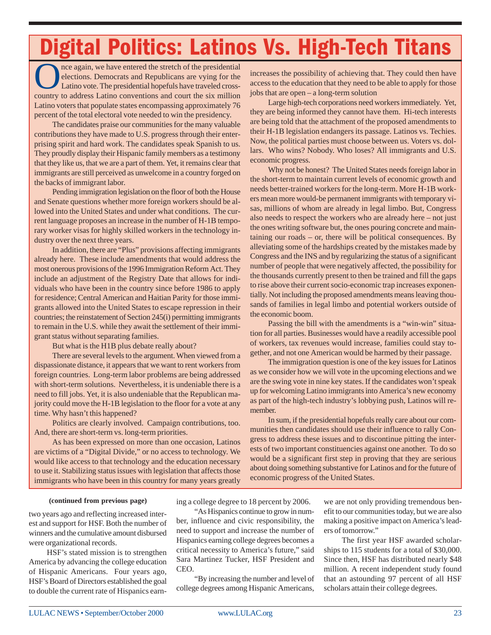## Digital Politics: Latinos Vs. High-Tech Titans

Once again, we have entered the stretch of the presidential<br>elections. Democrats and Republicans are vying for the<br>Latino vote. The presidential hopefuls have traveled cross-<br>country to address I atino conventions and cour elections. Democrats and Republicans are vying for the Latino vote. The presidential hopefuls have traveled crosscountry to address Latino conventions and court the six million Latino voters that populate states encompassing approximately 76 percent of the total electoral vote needed to win the presidency.

The candidates praise our communities for the many valuable contributions they have made to U.S. progress through their enterprising spirit and hard work. The candidates speak Spanish to us. They proudly display their Hispanic family members as a testimony that they like us, that we are a part of them. Yet, it remains clear that immigrants are still perceived as unwelcome in a country forged on the backs of immigrant labor.

Pending immigration legislation on the floor of both the House and Senate questions whether more foreign workers should be allowed into the United States and under what conditions. The current language proposes an increase in the number of H-1B temporary worker visas for highly skilled workers in the technology industry over the next three years.

In addition, there are "Plus" provisions affecting immigrants already here. These include amendments that would address the most onerous provisions of the 1996 Immigration Reform Act. They include an adjustment of the Registry Date that allows for individuals who have been in the country since before 1986 to apply for residence; Central American and Haitian Parity for those immigrants allowed into the United States to escape repression in their countries; the reinstatement of Section 245(i) permitting immigrants to remain in the U.S. while they await the settlement of their immigrant status without separating families.

But what is the H1B plus debate really about?

There are several levels to the argument. When viewed from a dispassionate distance, it appears that we want to rent workers from foreign countries. Long-term labor problems are being addressed with short-term solutions. Nevertheless, it is undeniable there is a need to fill jobs. Yet, it is also undeniable that the Republican majority could move the H-1B legislation to the floor for a vote at any time. Why hasn't this happened?

Politics are clearly involved. Campaign contributions, too. And, there are short-term vs. long-term priorities.

As has been expressed on more than one occasion, Latinos are victims of a "Digital Divide," or no access to technology. We would like access to that technology and the education necessary to use it. Stabilizing status issues with legislation that affects those immigrants who have been in this country for many years greatly

increases the possibility of achieving that. They could then have access to the education that they need to be able to apply for those jobs that are open – a long-term solution

Large high-tech corporations need workers immediately. Yet, they are being informed they cannot have them. Hi-tech interests are being told that the attachment of the proposed amendments to their H-1B legislation endangers its passage. Latinos vs. Techies. Now, the political parties must choose between us. Voters vs. dollars. Who wins? Nobody. Who loses? All immigrants and U.S. economic progress.

Why not be honest? The United States needs foreign labor in the short-term to maintain current levels of economic growth and needs better-trained workers for the long-term. More H-1B workers mean more would-be permanent immigrants with temporary visas, millions of whom are already in legal limbo. But, Congress also needs to respect the workers who are already here – not just the ones writing software but, the ones pouring concrete and maintaining our roads – or, there will be political consequences. By alleviating some of the hardships created by the mistakes made by Congress and the INS and by regularizing the status of a significant number of people that were negatively affected, the possibility for the thousands currently present to then be trained and fill the gaps to rise above their current socio-economic trap increases exponentially. Not including the proposed amendments means leaving thousands of families in legal limbo and potential workers outside of the economic boom.

Passing the bill with the amendments is a "win-win" situation for all parties. Businesses would have a readily accessible pool of workers, tax revenues would increase, families could stay together, and not one American would be harmed by their passage.

The immigration question is one of the key issues for Latinos as we consider how we will vote in the upcoming elections and we are the swing vote in nine key states. If the candidates won't speak up for welcoming Latino immigrants into America's new economy as part of the high-tech industry's lobbying push, Latinos will remember.

In sum, if the presidential hopefuls really care about our communities then candidates should use their influence to rally Congress to address these issues and to discontinue pitting the interests of two important constituencies against one another. To do so would be a significant first step in proving that they are serious about doing something substantive for Latinos and for the future of economic progress of the United States.

#### **(continued from previous page)**

two years ago and reflecting increased interest and support for HSF. Both the number of winners and the cumulative amount disbursed were organizational records.

HSF's stated mission is to strengthen America by advancing the college education of Hispanic Americans. Four years ago, HSF's Board of Directors established the goal to double the current rate of Hispanics earning a college degree to 18 percent by 2006.

"As Hispanics continue to grow in number, influence and civic responsibility, the need to support and increase the number of Hispanics earning college degrees becomes a critical necessity to America's future," said Sara Martinez Tucker, HSF President and CEO.

"By increasing the number and level of college degrees among Hispanic Americans,

we are not only providing tremendous benefit to our communities today, but we are also making a positive impact on America's leaders of tomorrow."

The first year HSF awarded scholarships to 115 students for a total of \$30,000. Since then, HSF has distributed nearly \$48 million. A recent independent study found that an astounding 97 percent of all HSF scholars attain their college degrees.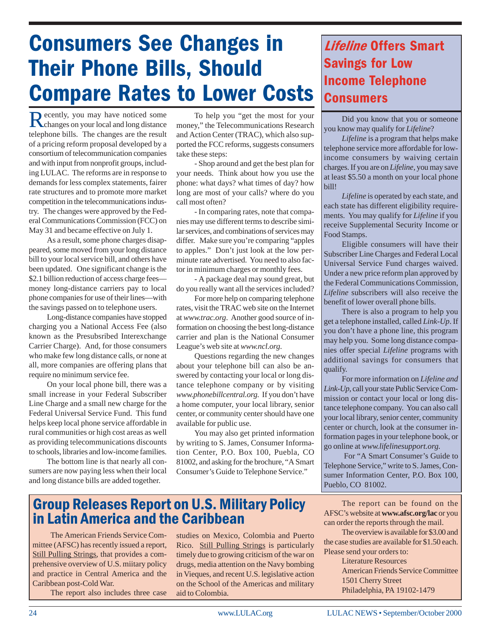## **Consumers See Changes in Their Phone Bills, Should Compare Rates to Lower Costs**

Recently, you may have noticed some<br>changes on your local and long distance telephone bills. The changes are the result of a pricing reform proposal developed by a consortium of telecommunication companies and with input from nonprofit groups, including LULAC. The reforms are in response to demands for less complex statements, fairer rate structures and to promote more market competition in the telecommunications industry. The changes were approved by the Federal Communications Commission (FCC) on May 31 and became effective on July 1.

As a result, some phone charges disappeared, some moved from your long distance bill to your local service bill, and others have been updated. One significant change is the \$2.1 billion reduction of access charge fees money long-distance carriers pay to local phone companies for use of their lines—with the savings passed on to telephone users.

Long-distance companies have stopped charging you a National Access Fee (also known as the Presubsribed Interexchange Carrier Charge). And, for those consumers who make few long distance calls, or none at all, more companies are offering plans that require no minimum service fee.

On your local phone bill, there was a small increase in your Federal Subscriber Line Charge and a small new charge for the Federal Universal Service Fund. This fund helps keep local phone service affordable in rural communities or high cost areas as well as providing telecommunications discounts to schools, libraries and low-income families.

The bottom line is that nearly all consumers are now paying less when their local and long distance bills are added together.

To help you "get the most for your money," the Telecommunications Research and Action Center (TRAC), which also supported the FCC reforms, suggests consumers take these steps:

- Shop around and get the best plan for your needs. Think about how you use the phone: what days? what times of day? how long are most of your calls? where do you call most often?

- In comparing rates, note that companies may use different terms to describe similar services, and combinations of services may differ. Make sure you're comparing "apples to apples." Don't just look at the low perminute rate advertised. You need to also factor in minimum charges or monthly fees.

- A package deal may sound great, but do you really want all the services included?

For more help on comparing telephone rates, visit the TRAC web site on the Internet at *www.trac.org*. Another good source of information on choosing the best long-distance carrier and plan is the National Consumer League's web site at *www.ncl.org.*

Questions regarding the new changes about your telephone bill can also be answered by contacting your local or long distance telephone company or by visiting *www.phonebillcentral.org.* If you don't have a home computer, your local library, senior center, or community center should have one available for public use.

You may also get printed information by writing to S. James, Consumer Information Center, P.O. Box 100, Puebla, CO 81002, and asking for the brochure, "A Smart Consumer's Guide to Telephone Service."

### **Group Releases Report on U.S. Military Policy** in Latin America and the Caribbean

The American Friends Service Committee (AFSC) has recently issued a report, Still Pulling Strings, that provides a comprehensive overview of U.S. miitary policy and practice in Central America and the Caribbean post-Cold War.

The report also includes three case

studies on Mexico, Colombia and Puerto Rico. Still Pulling Strings is particularly timely due to growing criticism of the war on drugs, media attention on the Navy bombing in Vieques, and recent U.S. legislative action on the School of the Americas and military aid to Colombia.

### **Lifeline Offers Smart Savings for Low Income Telephone Consumers**

Did you know that you or someone you know may qualify for *Lifeline*?

*Lifeline* is a program that helps make telephone service more affordable for lowincome consumers by waiving certain charges. If you are on *Lifeline*, you may save at least \$5.50 a month on your local phone bill!

*Lifeline* is operated by each state, and each state has different eligibility requirements. You may qualify for *Lifeline* if you receive Supplemental Security Income or Food Stamps.

Eligible consumers will have their Subscriber Line Charges and Federal Local Universal Service Fund charges waived. Under a new price reform plan approved by the Federal Communications Commission, *Lifeline* subscribers will also receive the benefit of lower overall phone bills.

There is also a program to help you get a telephone installed, called *Link-Up*. If you don't have a phone line, this program may help you. Some long distance companies offer special *Lifeline* programs with additional savings for consumers that qualify.

For more information on *Lifeline and Link-Up,* call your state Public Service Commission or contact your local or long distance telephone company. You can also call your local library, senior center, community center or church, look at the consumer information pages in your telephone book, or go online at *www.lifelinesupport.org.*

 For "A Smart Consumer's Guide to Telephone Service," write to S. James, Consumer Information Center, P.O. Box 100, Pueblo, CO 81002.

The report can be found on the AFSC's website at **www.afsc.org/lac** or you can order the reports through the mail.

The overview is available for \$3.00 and the case studies are available for \$1.50 each. Please send your orders to:

Literature Resources American Friends Service Committee 1501 Cherry Street Philadelphia, PA 19102-1479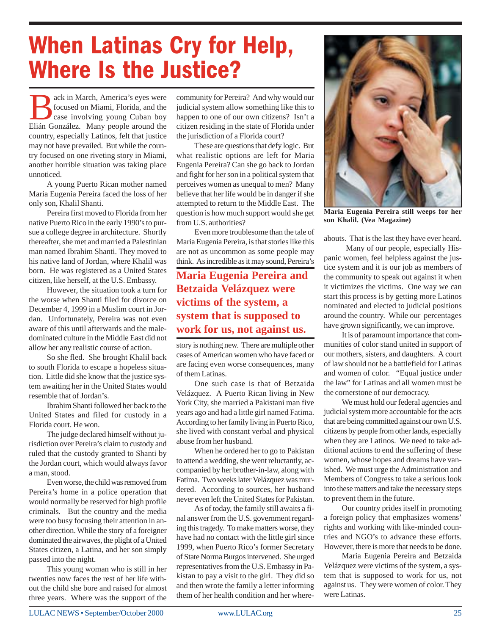# When Latinas Cry for Help, Where Is the Justice?

Back in March, America's eyes were<br>focused on Miami, Florida, and the<br>case involving young Cuban boy focused on Miami, Florida, and the case involving young Cuban boy Elián González. Many people around the country, especially Latinos, felt that justice may not have prevailed. But while the country focused on one riveting story in Miami, another horrible situation was taking place unnoticed.

A young Puerto Rican mother named Maria Eugenia Pereira faced the loss of her only son, Khalil Shanti.

Pereira first moved to Florida from her native Puerto Rico in the early 1990's to pursue a college degree in architecture. Shortly thereafter, she met and married a Palestinian man named Ibrahim Shanti. They moved to his native land of Jordan, where Khalil was born. He was registered as a United States citizen, like herself, at the U.S. Embassy.

However, the situation took a turn for the worse when Shanti filed for divorce on December 4, 1999 in a Muslim court in Jordan. Unfortunately, Pereira was not even aware of this until afterwards and the maledominated culture in the Middle East did not allow her any realistic course of action.

So she fled. She brought Khalil back to south Florida to escape a hopeless situation. Little did she know that the justice system awaiting her in the United States would resemble that of Jordan's.

Ibrahim Shanti followed her back to the United States and filed for custody in a Florida court. He won.

The judge declared himself without jurisdiction over Pereira's claim to custody and ruled that the custody granted to Shanti by the Jordan court, which would always favor a man, stood.

Even worse, the child was removed from Pereira's home in a police operation that would normally be reserved for high profile criminals. But the country and the media were too busy focusing their attention in another direction. While the story of a foreigner dominated the airwaves, the plight of a United States citizen, a Latina, and her son simply passed into the night.

This young woman who is still in her twenties now faces the rest of her life without the child she bore and raised for almost three years. Where was the support of the

community for Pereira? And why would our judicial system allow something like this to happen to one of our own citizens? Isn't a citizen residing in the state of Florida under the jurisdiction of a Florida court?

These are questions that defy logic. But what realistic options are left for Maria Eugenia Pereira? Can she go back to Jordan and fight for her son in a political system that perceives women as unequal to men? Many believe that her life would be in danger if she attempted to return to the Middle East. The question is how much support would she get from U.S. authorities?

Even more troublesome than the tale of Maria Eugenia Pereira, is that stories like this are not as uncommon as some people may think. As incredible as it may sound, Pereira's

#### **Maria Eugenia Pereira and Betzaida Velázquez were victims of the system, a system that is supposed to work for us, not against us.**

story is nothing new. There are multiple other cases of American women who have faced or are facing even worse consequences, many of them Latinas.

One such case is that of Betzaida Velázquez. A Puerto Rican living in New York City, she married a Pakistani man five years ago and had a little girl named Fatima. According to her family living in Puerto Rico, she lived with constant verbal and physical abuse from her husband.

When he ordered her to go to Pakistan to attend a wedding, she went reluctantly, accompanied by her brother-in-law, along with Fatima. Two weeks later Velázquez was murdered. According to sources, her husband never even left the United States for Pakistan.

As of today, the family still awaits a final answer from the U.S. government regarding this tragedy. To make matters worse, they have had no contact with the little girl since 1999, when Puerto Rico's former Secretary of State Norma Burgos intervened. She urged representatives from the U.S. Embassy in Pakistan to pay a visit to the girl. They did so and then wrote the family a letter informing them of her health condition and her where-



**Maria Eugenia Pereira still weeps for her son Khalil. (Vea Magazine)**

abouts. That is the last they have ever heard.

 Many of our people, especially Hispanic women, feel helpless against the justice system and it is our job as members of the community to speak out against it when it victimizes the victims. One way we can start this process is by getting more Latinos nominated and elected to judicial positions around the country. While our percentages have grown significantly, we can improve.

It is of paramount importance that communities of color stand united in support of our mothers, sisters, and daughters. A court of law should not be a battlefield for Latinas and women of color. "Equal justice under the law" for Latinas and all women must be the cornerstone of our democracy.

We must hold our federal agencies and judicial system more accountable for the acts that are being committed against our own U.S. citizens by people from other lands, especially when they are Latinos. We need to take additional actions to end the suffering of these women, whose hopes and dreams have vanished. We must urge the Administration and Members of Congress to take a serious look into these matters and take the necessary steps to prevent them in the future.

Our country prides itself in promoting a foreign policy that emphasizes womens' rights and working with like-minded countries and NGO's to advance these efforts. However, there is more that needs to be done.

Maria Eugenia Pereira and Betzaida Velázquez were victims of the system, a system that is supposed to work for us, not against us. They were women of color. They were Latinas.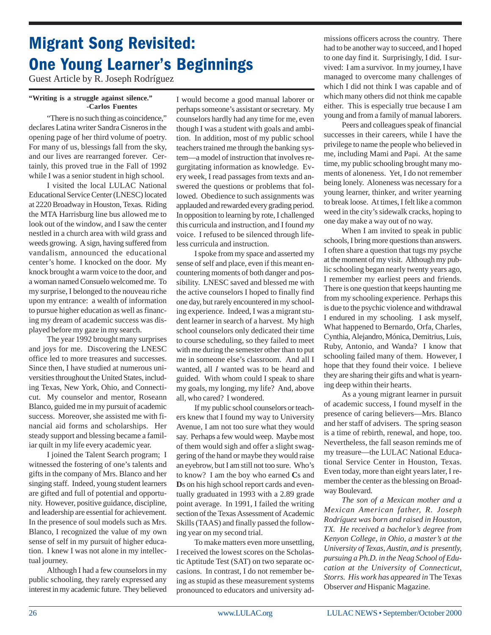### **Migrant Song Revisited: One Young Learner's Beginnings**

Guest Article by R. Joseph Rodríguez

#### **"Writing is a struggle against silence." -Carlos Fuentes**

"There is no such thing as coincidence," declares Latina writer Sandra Cisneros in the opening page of her third volume of poetry. For many of us, blessings fall from the sky, and our lives are rearranged forever. Certainly, this proved true in the Fall of 1992 while I was a senior student in high school.

I visited the local LULAC National Educational Service Center (LNESC) located at 2220 Broadway in Houston, Texas. Riding the MTA Harrisburg line bus allowed me to look out of the window, and I saw the center nestled in a church area with wild grass and weeds growing. A sign, having suffered from vandalism, announced the educational center's home. I knocked on the door. My knock brought a warm voice to the door, and a woman named Consuelo welcomed me. To my surprise, I belonged to the nouveau riche upon my entrance: a wealth of information to pursue higher education as well as financing my dream of academic success was displayed before my gaze in my search.

The year 1992 brought many surprises and joys for me. Discovering the LNESC office led to more treasures and successes. Since then, I have studied at numerous universities throughout the United States, including Texas, New York, Ohio, and Connecticut. My counselor and mentor, Roseann Blanco, guided me in my pursuit of academic success. Moreover, she assisted me with financial aid forms and scholarships. Her steady support and blessing became a familiar quilt in my life every academic year.

I joined the Talent Search program; I witnessed the fostering of one's talents and gifts in the company of Mrs. Blanco and her singing staff. Indeed, young student learners are gifted and full of potential and opportunity. However, positive guidance, discipline, and leadership are essential for achievement. In the presence of soul models such as Mrs. Blanco, I recognized the value of my own sense of self in my pursuit of higher education. I knew I was not alone in my intellectual journey.

Although I had a few counselors in my public schooling, they rarely expressed any interest in my academic future. They believed I would become a good manual laborer or perhaps someone's assistant or secretary. My counselors hardly had any time for me, even though I was a student with goals and ambition. In addition, most of my public school teachers trained me through the banking system—a model of instruction that involves regurgitating information as knowledge. Every week, I read passages from texts and answered the questions or problems that followed. Obedience to such assignments was applauded and rewarded every grading period. In opposition to learning by rote, I challenged this curricula and instruction, and I found *my* voice. I refused to be silenced through lifeless curricula and instruction.

I spoke from my space and asserted my sense of self and place, even if this meant encountering moments of both danger and possibility. LNESC saved and blessed me with the active counselors I hoped to finally find one day, but rarely encountered in my schooling experience. Indeed, I was a migrant student learner in search of a harvest. My high school counselors only dedicated their time to course scheduling, so they failed to meet with me during the semester other than to put me in someone else's classroom. And all I wanted, all *I* wanted was to be heard and guided. With whom could I speak to share my goals, my longing, my life? And, above all, who cared? I wondered.

If my public school counselors or teachers knew that I found my way to University Avenue, I am not too sure what they would say. Perhaps a few would weep. Maybe most of them would sigh and offer a slight swaggering of the hand or maybe they would raise an eyebrow, but I am still not too sure. Who's to know? I am the boy who earned **C**s and **D**s on his high school report cards and eventually graduated in 1993 with a 2.89 grade point average. In 1991, I failed the writing section of the Texas Assessment of Academic Skills (TAAS) and finally passed the following year on my second trial.

To make matters even more unsettling, I received the lowest scores on the Scholastic Aptitude Test (SAT) on two separate occasions. In contrast, I do not remember being as stupid as these measurement systems pronounced to educators and university admissions officers across the country. There had to be another way to succeed, and I hoped to one day find it. Surprisingly, I did. I survived: I am a survivor. In my journey, I have managed to overcome many challenges of which I did not think I was capable and of which many others did not think me capable either. This is especially true because I am young and from a family of manual laborers.

Peers and colleagues speak of financial successes in their careers, while I have the privilege to name the people who believed in me, including Mami and Papi. At the same time, my public schooling brought many moments of aloneness. Yet, I do not remember being lonely. Aloneness was necessary for a young learner, thinker, and writer yearning to break loose. At times, I felt like a common weed in the city's sidewalk cracks, hoping to one day make a way out of no way.

When I am invited to speak in public schools, I bring more questions than answers. I often share a question that tugs my psyche at the moment of my visit. Although my public schooling began nearly twenty years ago, I remember my earliest peers and friends. There is one question that keeps haunting me from my schooling experience. Perhaps this is due to the psychic violence and withdrawal I endured in my schooling. I ask myself, What happened to Bernardo, Orfa, Charles, Cynthia, Alejandro, Mónica, Demitrius, Luis, Ruby, Antonio, and Wanda? I know that schooling failed many of them. However, I hope that they found their voice. I believe they are sharing their gifts and what is yearning deep within their hearts.

As a young migrant learner in pursuit of academic success, I found myself in the presence of caring believers—Mrs. Blanco and her staff of advisers. The spring season is a time of rebirth, renewal, and hope, too. Nevertheless, the fall season reminds me of my treasure—the LULAC National Educational Service Center in Houston, Texas. Even today, more than eight years later, I remember the center as the blessing on Broadway Boulevard.

*The son of a Mexican mother and a Mexican American father, R. Joseph Rodríguez was born and raised in Houston, TX. He received a bachelor's degree from Kenyon College, in Ohio, a master's at the University of Texas, Austin, and is presently, pursuing a Ph.D. in the Neag School of Education at the University of Connecticut, Storrs. His work has appeared in* The Texas Observer *and* Hispanic Magazine*.*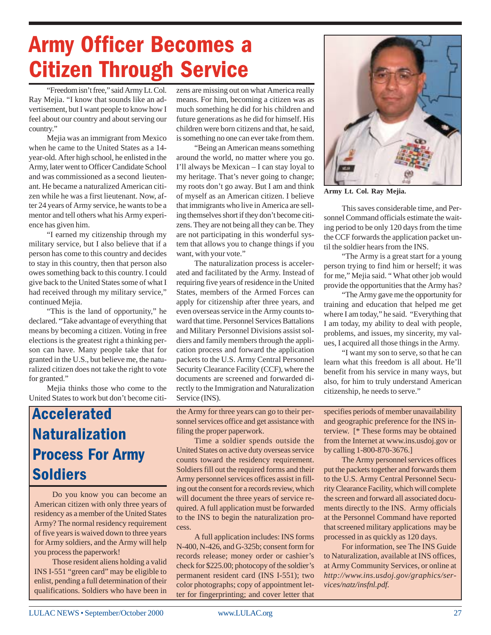# **Army Officer Becomes a Citizen Through Service**

"Freedom isn't free," said Army Lt. Col. Ray Mejia. "I know that sounds like an advertisement, but I want people to know how I feel about our country and about serving our country."

Mejia was an immigrant from Mexico when he came to the United States as a 14 year-old. After high school, he enlisted in the Army, later went to Officer Candidate School and was commissioned as a second lieutenant. He became a naturalized American citizen while he was a first lieutenant. Now, after 24 years of Army service, he wants to be a mentor and tell others what his Army experience has given him.

"I earned my citizenship through my military service, but I also believe that if a person has come to this country and decides to stay in this country, then that person also owes something back to this country. I could give back to the United States some of what I had received through my military service," continued Mejia.

"This is the land of opportunity," he declared. "Take advantage of everything that means by becoming a citizen. Voting in free elections is the greatest right a thinking person can have. Many people take that for granted in the U.S., but believe me, the naturalized citizen does not take the right to vote for granted."

Mejia thinks those who come to the United States to work but don't become citi-

### **Accelerated Naturalization Process For Army Soldiers**

Do you know you can become an American citizen with only three years of residency as a member of the United States Army? The normal residency requirement of five years is waived down to three years for Army soldiers, and the Army will help you process the paperwork!

Those resident aliens holding a valid INS I-551 "green card" may be eligible to enlist, pending a full determination of their qualifications. Soldiers who have been in

zens are missing out on what America really means. For him, becoming a citizen was as much something he did for his children and future generations as he did for himself. His children were born citizens and that, he said, is something no one can ever take from them.

"Being an American means something around the world, no matter where you go. I'll always be Mexican – I can stay loyal to my heritage. That's never going to change; my roots don't go away. But I am and think of myself as an American citizen. I believe that immigrants who live in America are selling themselves short if they don't become citizens. They are not being all they can be. They are not participating in this wonderful system that allows you to change things if you want, with your vote."

The naturalization process is accelerated and facilitated by the Army. Instead of requiring five years of residence in the United States, members of the Armed Forces can apply for citizenship after three years, and even overseas service in the Army counts toward that time. Personnel Services Battalions and Military Personnel Divisions assist soldiers and family members through the application process and forward the application packets to the U.S. Army Central Personnel Security Clearance Facility (CCF), where the documents are screened and forwarded directly to the Immigration and Naturalization Service (INS).

the Army for three years can go to their personnel services office and get assistance with filing the proper paperwork.

Time a soldier spends outside the United States on active duty overseas service counts toward the residency requirement. Soldiers fill out the required forms and their Army personnel services offices assist in filling out the consent for a records review, which will document the three years of service required. A full application must be forwarded to the INS to begin the naturalization process.

A full application includes: INS forms N-400, N-426, and G-325b; consent form for records release; money order or cashier's check for \$225.00; photocopy of the soldier's permanent resident card (INS I-551); two color photographs; copy of appointment letter for fingerprinting; and cover letter that



**Army Lt. Col. Ray Mejia.**

This saves considerable time, and Personnel Command officials estimate the waiting period to be only 120 days from the time the CCF forwards the application packet until the soldier hears from the INS.

"The Army is a great start for a young person trying to find him or herself; it was for me," Mejia said. " What other job would provide the opportunities that the Army has?

"The Army gave me the opportunity for training and education that helped me get where I am today," he said. "Everything that I am today, my ability to deal with people, problems, and issues, my sincerity, my values, I acquired all those things in the Army.

"I want my son to serve, so that he can learn what this freedom is all about. He'll benefit from his service in many ways, but also, for him to truly understand American citizenship, he needs to serve."

specifies periods of member unavailability and geographic preference for the INS interview. [\* These forms may be obtained from the Internet at www.ins.usdoj.gov or by calling 1-800-870-3676.]

The Army personnel services offices put the packets together and forwards them to the U.S. Army Central Personnel Security Clearance Facility, which will complete the screen and forward all associated documents directly to the INS. Army officials at the Personnel Command have reported that screened military applications may be processed in as quickly as 120 days.

For information, see The INS Guide to Naturalization, available at INS offices, at Army Community Services, or online at *http://www.ins.usdoj.gov/graphics/services/natz/insfnl.pdf.*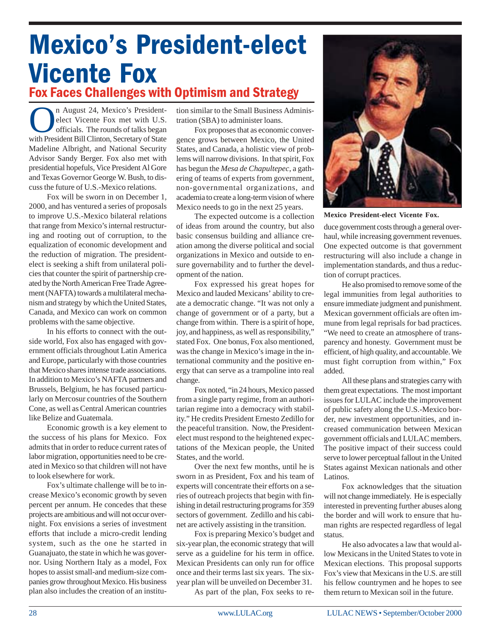### Mexico's President-elect **Vicente Fox** Fox Faces Challenges with Optimism and Strategy

n August 24, Mexico's Presidentelect Vicente Fox met with U.S. officials. The rounds of talks began with President Bill Clinton, Secretary of State Madeline Albright, and National Security Advisor Sandy Berger. Fox also met with presidential hopefuls, Vice President Al Gore and Texas Governor George W. Bush, to discuss the future of U.S.-Mexico relations.

Fox will be sworn in on December 1, 2000, and has ventured a series of proposals to improve U.S.-Mexico bilateral relations that range from Mexico's internal restructuring and rooting out of corruption, to the equalization of economic development and the reduction of migration. The presidentelect is seeking a shift from unilateral policies that counter the spirit of partnership created by the North American Free Trade Agreement (NAFTA) towards a multilateral mechanism and strategy by which the United States, Canada, and Mexico can work on common problems with the same objective.

In his efforts to connect with the outside world, Fox also has engaged with government officials throughout Latin America and Europe, particularly with those countries that Mexico shares intense trade associations. In addition to Mexico's NAFTA partners and Brussels, Belgium, he has focused particularly on Mercosur countries of the Southern Cone, as well as Central American countries like Belize and Guatemala.

Economic growth is a key element to the success of his plans for Mexico. Fox admits that in order to reduce current rates of labor migration, opportunities need to be created in Mexico so that children will not have to look elsewhere for work.

Fox's ultimate challenge will be to increase Mexico's economic growth by seven percent per annum. He concedes that these projects are ambitious and will not occur overnight. Fox envisions a series of investment efforts that include a micro-credit lending system, such as the one he started in Guanajuato, the state in which he was governor. Using Northern Italy as a model, Fox hopes to assist small-and medium-size companies grow throughout Mexico. His business plan also includes the creation of an institution similar to the Small Business Administration (SBA) to administer loans.

Fox proposes that as economic convergence grows between Mexico, the United States, and Canada, a holistic view of problems will narrow divisions. In that spirit, Fox has begun the *Mesa de Chapultepec*, a gathering of teams of experts from government, non-governmental organizations, and academia to create a long-term vision of where Mexico needs to go in the next 25 years.

The expected outcome is a collection of ideas from around the country, but also basic consensus building and alliance creation among the diverse political and social organizations in Mexico and outside to ensure governability and to further the development of the nation.

Fox expressed his great hopes for Mexico and lauded Mexicans' ability to create a democratic change. "It was not only a change of government or of a party, but a change from within. There is a spirit of hope, joy, and happiness, as well as responsibility," stated Fox. One bonus, Fox also mentioned, was the change in Mexico's image in the international community and the positive energy that can serve as a trampoline into real change.

Fox noted, "in 24 hours, Mexico passed from a single party regime, from an authoritarian regime into a democracy with stability." He credits President Ernesto Zedillo for the peaceful transition. Now, the Presidentelect must respond to the heightened expectations of the Mexican people, the United States, and the world.

Over the next few months, until he is sworn in as President, Fox and his team of experts will concentrate their efforts on a series of outreach projects that begin with finishing in detail restructuring programs for 359 sectors of government. Zedillo and his cabinet are actively assisting in the transition.

Fox is preparing Mexico's budget and six-year plan, the economic strategy that will serve as a guideline for his term in office. Mexican Presidents can only run for office once and their terms last six years. The sixyear plan will be unveiled on December 31.

As part of the plan, Fox seeks to re-



**Mexico President-elect Vicente Fox.**

duce government costs through a general overhaul, while increasing government revenues. One expected outcome is that government restructuring will also include a change in implementation standards, and thus a reduction of corrupt practices.

He also promised to remove some of the legal immunities from legal authorities to ensure immediate judgment and punishment. Mexican government officials are often immune from legal reprisals for bad practices. "We need to create an atmosphere of transparency and honesty. Government must be efficient, of high quality, and accountable. We must fight corruption from within," Fox added.

All these plans and strategies carry with them great expectations. The most important issues for LULAC include the improvement of public safety along the U.S.-Mexico border, new investment opportunities, and increased communication between Mexican government officials and LULAC members. The positive impact of their success could serve to lower perceptual fallout in the United States against Mexican nationals and other Latinos.

Fox acknowledges that the situation will not change immediately. He is especially interested in preventing further abuses along the border and will work to ensure that human rights are respected regardless of legal status.

He also advocates a law that would allow Mexicans in the United States to vote in Mexican elections. This proposal supports Fox's view that Mexicans in the U.S. are still his fellow countrymen and he hopes to see them return to Mexican soil in the future.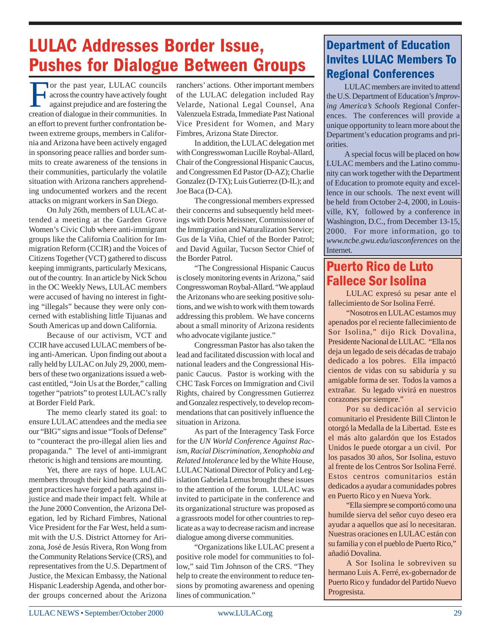### **LULAC Addresses Border Issue, Pushes for Dialogue Between Groups**

For the past year, LULAC councils across the country have actively fought against prejudice and are fostering the creation of dialogue in their communities. In an effort to prevent further confrontation between extreme groups, members in California and Arizona have been actively engaged in sponsoring peace rallies and border summits to create awareness of the tensions in their communities, particularly the volatile situation with Arizona ranchers apprehending undocumented workers and the recent attacks on migrant workers in San Diego.

On July 26th, members of LULAC attended a meeting at the Garden Grove Women's Civic Club where anti-immigrant groups like the California Coalition for Immigration Reform (CCIR) and the Voices of Citizens Together (VCT) gathered to discuss keeping immigrants, particularly Mexicans, out of the country. In an article by Nick Schou in the OC Weekly News, LULAC members were accused of having no interest in fighting "illegals" because they were only concerned with establishing little Tijuanas and South Americas up and down California.

Because of our activism, VCT and CCIR have accused LULAC members of being anti-American. Upon finding out about a rally held by LULAC on July 29, 2000, members of these two organizations issued a webcast entitled, "Join Us at the Border," calling together "patriots" to protest LULAC's rally at Border Field Park.

The memo clearly stated its goal: to ensure LULAC attendees and the media see our "BIG" signs and issue "Tools of Defense" to "counteract the pro-illegal alien lies and propaganda." The level of anti-immigrant rhetoric is high and tensions are mounting.

Yet, there are rays of hope. LULAC members through their kind hearts and diligent practices have forged a path against injustice and made their impact felt. While at the June 2000 Convention, the Arizona Delegation, led by Richard Fimbres, National Vice President for the Far West, held a summit with the U.S. District Attorney for Arizona, José de Jesús Rivera, Ron Wong from the Community Relations Service (CRS), and representatives from the U.S. Department of Justice, the Mexican Embassy, the National Hispanic Leadership Agenda, and other border groups concerned about the Arizona

ranchers' actions. Other important members of the LULAC delegation included Ray Velarde, National Legal Counsel, Ana Valenzuela Estrada, Immediate Past National Vice President for Women, and Mary Fimbres, Arizona State Director.

In addition, the LULAC delegation met with Congresswoman Lucille Roybal-Allard, Chair of the Congressional Hispanic Caucus, and Congressmen Ed Pastor (D-AZ); Charlie Gonzalez (D-TX); Luis Gutierrez (D-IL); and Joe Baca (D-CA).

The congressional members expressed their concerns and subsequently held meetings with Doris Meissner, Commissioner of the Immigration and Naturalization Service; Gus de la Viña, Chief of the Border Patrol; and David Aguilar, Tucson Sector Chief of the Border Patrol.

"The Congressional Hispanic Caucus is closely monitoring events in Arizona," said Congresswoman Roybal-Allard. "We applaud the Arizonans who are seeking positive solutions, and we wish to work with them towards addressing this problem. We have concerns about a small minority of Arizona residents who advocate vigilante justice."

Congressman Pastor has also taken the lead and facilitated discussion with local and national leaders and the Congressional Hispanic Caucus. Pastor is working with the CHC Task Forces on Immigration and Civil Rights, chaired by Congressmen Gutierrez and Gonzalez respectively, to develop recommendations that can positively influence the situation in Arizona.

As part of the Interagency Task Force for the *UN World Conference Against Racism, Racial Discrimination, Xenophobia and Related Intolerance* led by the White House, LULAC National Director of Policy and Legislation Gabriela Lemus brought these issues to the attention of the forum. LULAC was invited to participate in the conference and its organizational structure was proposed as a grassroots model for other countries to replicate as a way to decrease racism and increase dialogue among diverse communities.

"Organizations like LULAC present a positive role model for communities to follow," said Tim Johnson of the CRS. "They help to create the environment to reduce tensions by promoting awareness and opening lines of communication."

#### **Department of Education Invites LULAC Members To Regional Conferences**

LULAC members are invited to attend the U.S. Department of Education's *Improving America's Schools* Regional Conferences. The conferences will provide a unique opportunity to learn more about the Department's education programs and priorities.

A special focus will be placed on how LULAC members and the Latino community can work together with the Department of Education to promote equity and excellence in our schools. The next event will be held from October 2-4, 2000, in Louisville, KY, followed by a conference in Washington, D.C., from December 13-15, 2000. For more information, go to *www.ncbe.gwu.edu/iasconferences* on the Internet.

#### **Puerto Rico de Luto Fallece Sor Isolina**

LULAC expresó su pesar ante el fallecimiento de Sor Isolina Ferré.

"Nosotros en LULAC estamos muy apenados por el reciente fallecimiento de Sor Isolina," dijo Rick Dovalina, Presidente Nacional de LULAC. "Ella nos deja un legado de seis décadas de trabajo dedicado a los pobres. Ella impactó cientos de vidas con su sabiduría y su amigable forma de ser. Todos la vamos a extrañar. Su legado vivirá en nuestros corazones por siempre."

Por su dedicación al servicio comunitario el Presidente Bill Clinton le otorgó la Medalla de la Libertad. Este es el más alto galardón que los Estados Unidos le puede otorgar a un civil. Por los pasados 30 años, Sor Isolina, estuvo al frente de los Centros Sor Isolina Ferré. Estos centros comunitarios están dedicados a ayudar a comunidades pobres en Puerto Rico y en Nueva York.

"Ella siempre se comportó como una humilde sierva del señor cuyo deseo era ayudar a aquellos que así lo necesitaran. Nuestras oraciones en LULAC están con su familia y con el pueblo de Puerto Rico," añadió Dovalina.

A Sor Isolina le sobreviven su hermano Luis A. Ferré, ex-gobernador de Puerto Rico y fundador del Partido Nuevo Progresista.